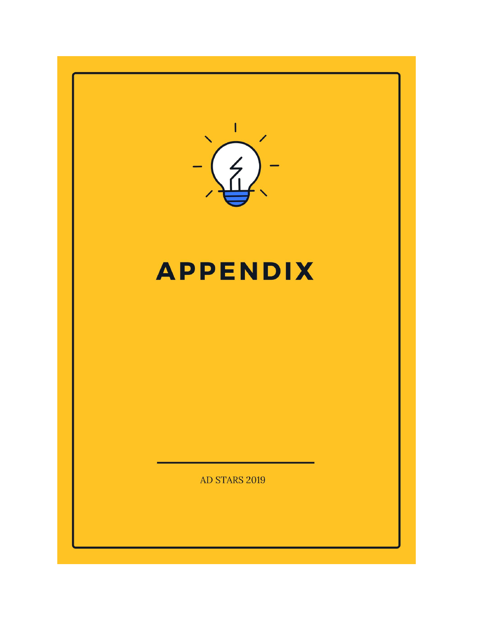

# **APPENDIX**

AD STARS 2019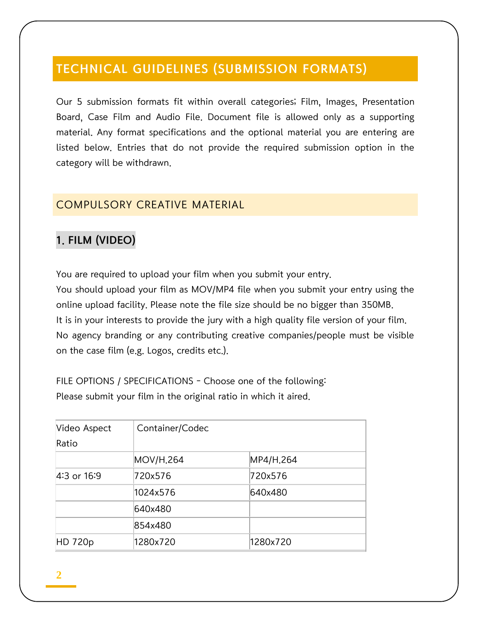# TECHNICAL GUIDELINES (SUBMISSION FORMATS)

Our 5 submission formats fit within overall categories; Film, Images, Presentation Board, Case Film and Audio File. Document file is allowed only as a supporting material. Any format specifications and the optional material you are entering are listed below. Entries that do not provide the required submission option in the category will be withdrawn.

### COMPULSORY CREATIVE MATERIAL

# 1. FILM (VIDEO)

You are required to upload your film when you submit your entry. You should upload your film as MOV/MP4 file when you submit your entry using the online upload facility. Please note the file size should be no bigger than 350MB. It is in your interests to provide the jury with a high quality file version of your film. No agency branding or any contributing creative companies/people must be visible on the case film (e.g. Logos, credits etc.).

FILE OPTIONS / SPECIFICATIONS - Choose one of the following: Please submit your film in the original ratio in which it aired.

| Video Aspect | Container/Codec |           |
|--------------|-----------------|-----------|
| Ratio        |                 |           |
|              | MOV/H.264       | MP4/H.264 |
| 4:3 or 16:9  | 720x576         | 720x576   |
|              | 1024x576        | 640x480   |
|              | 640x480         |           |
|              | 854x480         |           |
| HD 720p      | 1280x720        | 1280x720  |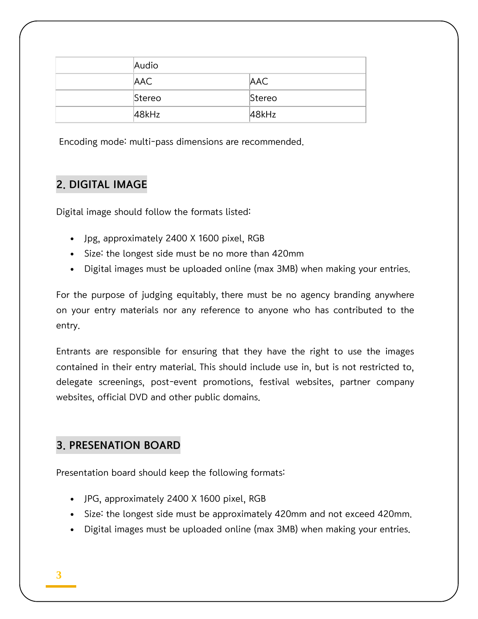| Audio      |            |
|------------|------------|
| <b>AAC</b> | <b>AAC</b> |
| Stereo     | Stereo     |
| 48kHz      | 48kHz      |

Encoding mode: multi-pass dimensions are recommended.

# 2. DIGITAL IMAGE

Digital image should follow the formats listed:

- Jpg, approximately 2400 X 1600 pixel, RGB
- Size: the longest side must be no more than 420mm
- Digital images must be uploaded online (max 3MB) when making your entries.

For the purpose of judging equitably, there must be no agency branding anywhere on your entry materials nor any reference to anyone who has contributed to the entry.

Entrants are responsible for ensuring that they have the right to use the images contained in their entry material. This should include use in, but is not restricted to, delegate screenings, post-event promotions, festival websites, partner company websites, official DVD and other public domains.

# 3. PRESENATION BOARD

Presentation board should keep the following formats:

- JPG, approximately 2400 X 1600 pixel, RGB
- Size: the longest side must be approximately 420mm and not exceed 420mm.
- Digital images must be uploaded online (max 3MB) when making your entries.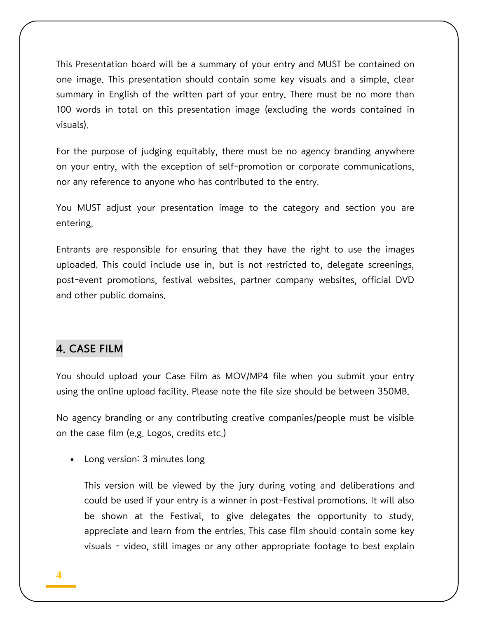This Presentation board will be a summary of your entry and MUST be contained on one image. This presentation should contain some key visuals and a simple, clear summary in English of the written part of your entry. There must be no more than 100 words in total on this presentation image (excluding the words contained in visuals).

For the purpose of judging equitably, there must be no agency branding anywhere on your entry, with the exception of self-promotion or corporate communications, nor any reference to anyone who has contributed to the entry.

You MUST adjust your presentation image to the category and section you are entering.

Entrants are responsible for ensuring that they have the right to use the images uploaded. This could include use in, but is not restricted to, delegate screenings, post-event promotions, festival websites, partner company websites, official DVD and other public domains.

### 4. CASE FILM

You should upload your Case Film as MOV/MP4 file when you submit your entry using the online upload facility. Please note the file size should be between 350MB.

No agency branding or any contributing creative companies/people must be visible on the case film (e.g. Logos, credits etc.)

Long version: 3 minutes long

This version will be viewed by the jury during voting and deliberations and could be used if your entry is a winner in post-Festival promotions. It will also be shown at the Festival, to give delegates the opportunity to study, appreciate and learn from the entries. This case film should contain some key visuals - video, still images or any other appropriate footage to best explain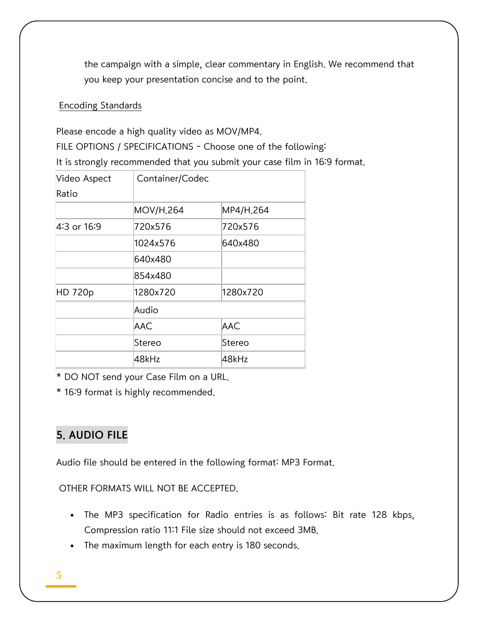the campaign with a simple, clear commentary in English. We recommend that you keep your presentation concise and to the point.

### Encoding Standards

Please encode a high quality video as MOV/MP4.

FILE OPTIONS / SPECIFICATIONS - Choose one of the following:

It is strongly recommended that you submit your case film in 16:9 format.

| Video Aspect | Container/Codec  |            |  |
|--------------|------------------|------------|--|
| Ratio        |                  |            |  |
|              | <b>MOV/H.264</b> | MP4/H.264  |  |
| 4:3 or 16:9  | 720x576          | 720x576    |  |
|              | 1024x576         | 640x480    |  |
|              | 640x480          |            |  |
|              | 854x480          |            |  |
| HD 720p      | 1280x720         | 1280x720   |  |
|              | Audio            |            |  |
|              | AAC              | <b>AAC</b> |  |
|              | Stereo           | Stereo     |  |
|              | 48kHz            | 48kHz      |  |

\* DO NOT send your Case Film on a URL.

\* 16:9 format is highly recommended.

# 5. AUDIO FILE

Audio file should be entered in the following format: MP3 Format.

OTHER FORMATS WILL NOT BE ACCEPTED.

- The MP3 specification for Radio entries is as follows: Bit rate 128 kbps, Compression ratio 11:1 File size should not exceed 3MB.
- The maximum length for each entry is 180 seconds.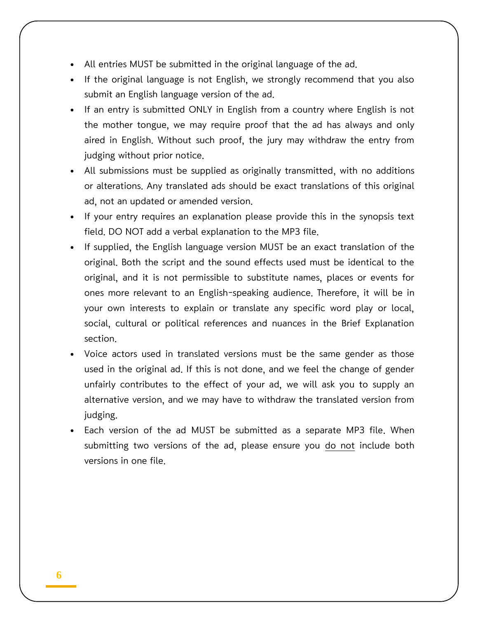- All entries MUST be submitted in the original language of the ad.
- If the original language is not English, we strongly recommend that you also submit an English language version of the ad.
- If an entry is submitted ONLY in English from a country where English is not the mother tongue, we may require proof that the ad has always and only aired in English. Without such proof, the jury may withdraw the entry from judging without prior notice.
- All submissions must be supplied as originally transmitted, with no additions or alterations. Any translated ads should be exact translations of this original ad, not an updated or amended version.
- If your entry requires an explanation please provide this in the synopsis text field. DO NOT add a verbal explanation to the MP3 file.
- If supplied, the English language version MUST be an exact translation of the original. Both the script and the sound effects used must be identical to the original, and it is not permissible to substitute names, places or events for ones more relevant to an English-speaking audience. Therefore, it will be in your own interests to explain or translate any specific word play or local, social, cultural or political references and nuances in the Brief Explanation section.
- Voice actors used in translated versions must be the same gender as those used in the original ad. If this is not done, and we feel the change of gender unfairly contributes to the effect of your ad, we will ask you to supply an alternative version, and we may have to withdraw the translated version from judging.
- Each version of the ad MUST be submitted as a separate MP3 file. When submitting two versions of the ad, please ensure you do not include both versions in one file.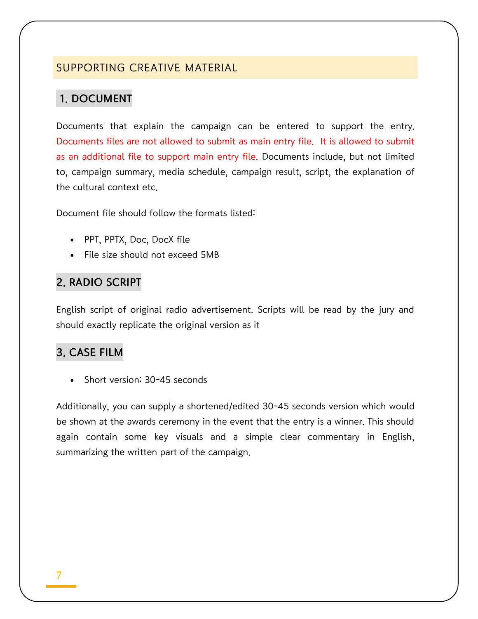### SUPPORTING CREATIVE MATERIAL

### 1. DOCUMENT

Documents that explain the campaign can be entered to support the entry. Documents files are not allowed to submit as main entry file. It is allowed to submit as an additional file to support main entry file. Documents include, but not limited to, campaign summary, media schedule, campaign result, script, the explanation of the cultural context etc.

Document file should follow the formats listed:

- PPT, PPTX, Doc, DocX file
- File size should not exceed 5MB

### 2. RADIO SCRIPT

English script of original radio advertisement. Scripts will be read by the jury and should exactly replicate the original version as it

# 3. CASE FILM

Short version: 30-45 seconds

Additionally, you can supply a shortened/edited 30-45 seconds version which would be shown at the awards ceremony in the event that the entry is a winner. This should again contain some key visuals and a simple clear commentary in English, summarizing the written part of the campaign.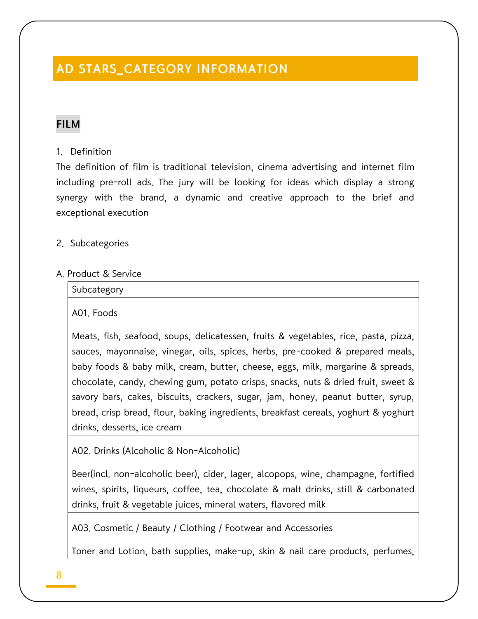# AD STARS\_CATEGORY INFORMATION

### FILM

### 1. Definition

The definition of film is traditional television, cinema advertising and internet film including pre-roll ads. The jury will be looking for ideas which display a strong synergy with the brand, a dynamic and creative approach to the brief and exceptional execution

2. Subcategories

### A. Product & Service

| Subcategory |  |  |
|-------------|--|--|
|             |  |  |

A01. Foods

Meats, fish, seafood, soups, delicatessen, fruits & vegetables, rice, pasta, pizza, sauces, mayonnaise, vinegar, oils, spices, herbs, pre-cooked & prepared meals, baby foods & baby milk, cream, butter, cheese, eggs, milk, margarine & spreads, chocolate, candy, chewing gum, potato crisps, snacks, nuts & dried fruit, sweet & savory bars, cakes, biscuits, crackers, sugar, jam, honey, peanut butter, syrup, bread, crisp bread, flour, baking ingredients, breakfast cereals, yoghurt & yoghurt drinks, desserts, ice cream

A02. Drinks (Alcoholic & Non-Alcoholic)

Beer(incl. non-alcoholic beer), cider, lager, alcopops, wine, champagne, fortified wines, spirits, liqueurs, coffee, tea, chocolate & malt drinks, still & carbonated drinks, fruit & vegetable juices, mineral waters, flavored milk

A03. Cosmetic / Beauty / Clothing / Footwear and Accessories

Toner and Lotion, bath supplies, make-up, skin & nail care products, perfumes,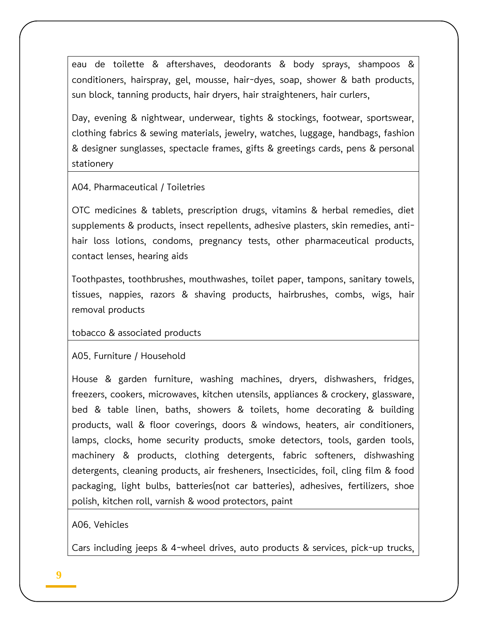eau de toilette & aftershaves, deodorants & body sprays, shampoos & conditioners, hairspray, gel, mousse, hair-dyes, soap, shower & bath products, sun block, tanning products, hair dryers, hair straighteners, hair curlers,

Day, evening & nightwear, underwear, tights & stockings, footwear, sportswear, clothing fabrics & sewing materials, jewelry, watches, luggage, handbags, fashion & designer sunglasses, spectacle frames, gifts & greetings cards, pens & personal stationery

A04. Pharmaceutical / Toiletries

OTC medicines & tablets, prescription drugs, vitamins & herbal remedies, diet supplements & products, insect repellents, adhesive plasters, skin remedies, antihair loss lotions, condoms, pregnancy tests, other pharmaceutical products, contact lenses, hearing aids

Toothpastes, toothbrushes, mouthwashes, toilet paper, tampons, sanitary towels, tissues, nappies, razors & shaving products, hairbrushes, combs, wigs, hair removal products

tobacco & associated products

A05. Furniture / Household

House & garden furniture, washing machines, dryers, dishwashers, fridges, freezers, cookers, microwaves, kitchen utensils, appliances & crockery, glassware, bed & table linen, baths, showers & toilets, home decorating & building products, wall & floor coverings, doors & windows, heaters, air conditioners, lamps, clocks, home security products, smoke detectors, tools, garden tools, machinery & products, clothing detergents, fabric softeners, dishwashing detergents, cleaning products, air fresheners, Insecticides, foil, cling film & food packaging, light bulbs, batteries(not car batteries), adhesives, fertilizers, shoe polish, kitchen roll, varnish & wood protectors, paint

A06. Vehicles

Cars including jeeps & 4-wheel drives, auto products & services, pick-up trucks,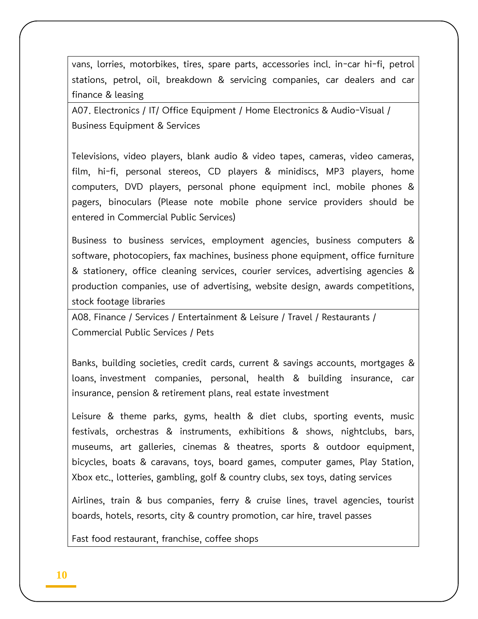vans, lorries, motorbikes, tires, spare parts, accessories incl. in-car hi-fi, petrol stations, petrol, oil, breakdown & servicing companies, car dealers and car finance & leasing

A07. Electronics / IT/ Office Equipment / Home Electronics & Audio-Visual / Business Equipment & Services

Televisions, video players, blank audio & video tapes, cameras, video cameras, film, hi-fi, personal stereos, CD players & minidiscs, MP3 players, home computers, DVD players, personal phone equipment incl. mobile phones & pagers, binoculars (Please note mobile phone service providers should be entered in Commercial Public Services)

Business to business services, employment agencies, business computers & software, photocopiers, fax machines, business phone equipment, office furniture & stationery, office cleaning services, courier services, advertising agencies & production companies, use of advertising, website design, awards competitions, stock footage libraries

A08. Finance / Services / Entertainment & Leisure / Travel / Restaurants / Commercial Public Services / Pets

Banks, building societies, credit cards, current & savings accounts, mortgages & loans, investment companies, personal, health & building insurance, car insurance, pension & retirement plans, real estate investment

Leisure & theme parks, gyms, health & diet clubs, sporting events, music festivals, orchestras & instruments, exhibitions & shows, nightclubs, bars, museums, art galleries, cinemas & theatres, sports & outdoor equipment, bicycles, boats & caravans, toys, board games, computer games, Play Station, Xbox etc., lotteries, gambling, golf & country clubs, sex toys, dating services

Airlines, train & bus companies, ferry & cruise lines, travel agencies, tourist boards, hotels, resorts, city & country promotion, car hire, travel passes

Fast food restaurant, franchise, coffee shops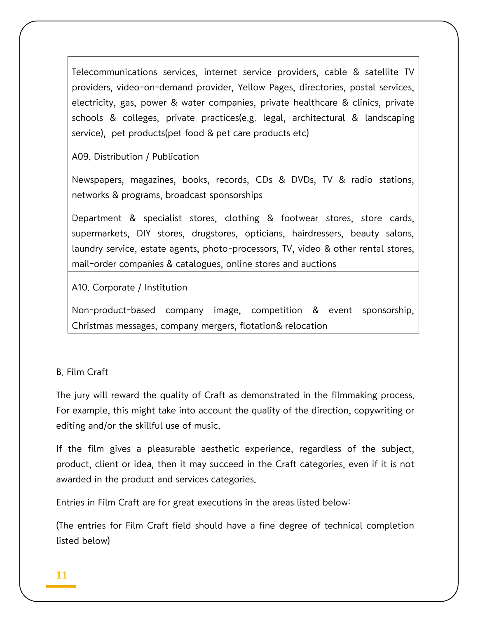Telecommunications services, internet service providers, cable & satellite TV providers, video-on-demand provider, Yellow Pages, directories, postal services, electricity, gas, power & water companies, private healthcare & clinics, private schools & colleges, private practices(e.g. legal, architectural & landscaping service), pet products(pet food & pet care products etc)

A09. Distribution / Publication

Newspapers, magazines, books, records, CDs & DVDs, TV & radio stations, networks & programs, broadcast sponsorships

Department & specialist stores, clothing & footwear stores, store cards, supermarkets, DIY stores, drugstores, opticians, hairdressers, beauty salons, laundry service, estate agents, photo-processors, TV, video & other rental stores, mail-order companies & catalogues, online stores and auctions

A10. Corporate / Institution

Non-product-based company image, competition & event sponsorship, Christmas messages, company mergers, flotation& relocation

#### B. Film Craft

The jury will reward the quality of Craft as demonstrated in the filmmaking process. For example, this might take into account the quality of the direction, copywriting or editing and/or the skillful use of music.

If the film gives a pleasurable aesthetic experience, regardless of the subject, product, client or idea, then it may succeed in the Craft categories, even if it is not awarded in the product and services categories.

Entries in Film Craft are for great executions in the areas listed below:

(The entries for Film Craft field should have a fine degree of technical completion listed below)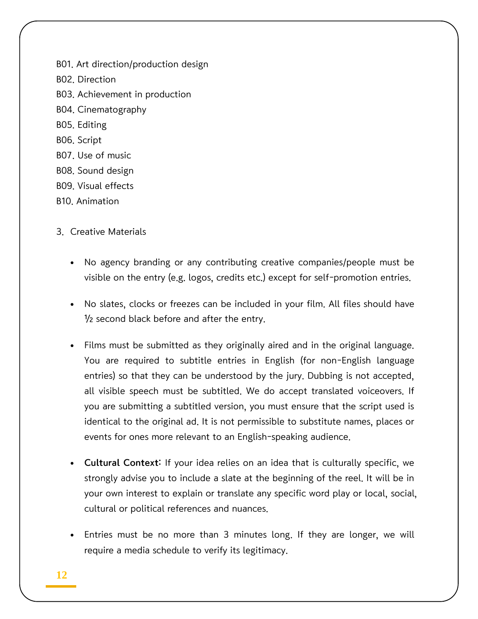B01. Art direction/production design B02. Direction B03. Achievement in production B04. Cinematography B05. Editing B06. Script B07. Use of music B08. Sound design B09. Visual effects B10. Animation

### 3. Creative Materials

- No agency branding or any contributing creative companies/people must be visible on the entry (e.g. logos, credits etc.) except for self-promotion entries.
- No slates, clocks or freezes can be included in your film. All files should have  $\frac{1}{2}$  second black before and after the entry.
- Films must be submitted as they originally aired and in the original language. You are required to subtitle entries in English (for non-English language entries) so that they can be understood by the jury. Dubbing is not accepted, all visible speech must be subtitled. We do accept translated voiceovers. If you are submitting a subtitled version, you must ensure that the script used is identical to the original ad. It is not permissible to substitute names, places or events for ones more relevant to an English-speaking audience.
- Cultural Context: If your idea relies on an idea that is culturally specific, we strongly advise you to include a slate at the beginning of the reel. It will be in your own interest to explain or translate any specific word play or local, social, cultural or political references and nuances.
- Entries must be no more than 3 minutes long. If they are longer, we will require a media schedule to verify its legitimacy.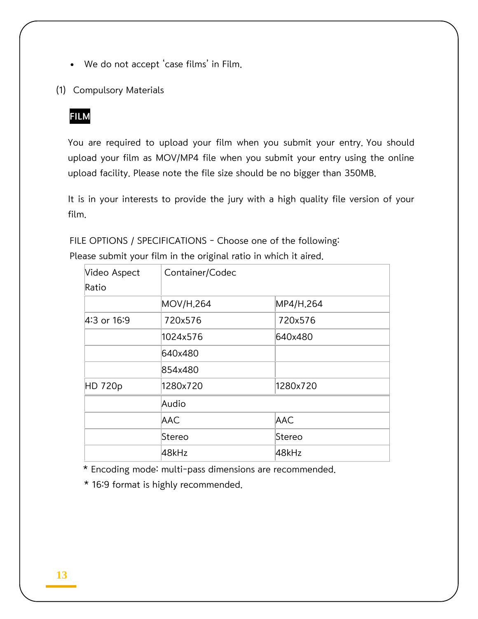- We do not accept 'case films' in Film.
- (1) Compulsory Materials

### FILM

You are required to upload your film when you submit your entry. You should upload your film as MOV/MP4 file when you submit your entry using the online upload facility. Please note the file size should be no bigger than 350MB.

It is in your interests to provide the jury with a high quality file version of your film.

FILE OPTIONS / SPECIFICATIONS - Choose one of the following:

| Video Aspect | Container/Codec |            |  |
|--------------|-----------------|------------|--|
| Ratio        |                 |            |  |
|              | MOV/H.264       | MP4/H.264  |  |
| 4:3 or 16:9  | 720x576         | 720x576    |  |
|              | 1024x576        | 640x480    |  |
|              | 640x480         |            |  |
|              | 854x480         |            |  |
| HD 720p      | 1280x720        | 1280x720   |  |
|              | Audio           |            |  |
|              | AAC             | <b>AAC</b> |  |
|              | Stereo          | Stereo     |  |
|              | 48kHz           | 48kHz      |  |

Please submit your film in the original ratio in which it aired.

\* Encoding mode: multi-pass dimensions are recommended.

\* 16:9 format is highly recommended.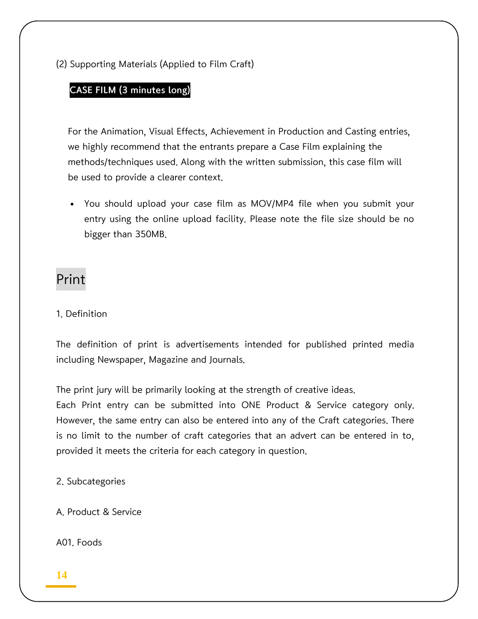(2) Supporting Materials (Applied to Film Craft)

### CASE FILM (3 minutes long)

For the Animation, Visual Effects, Achievement in Production and Casting entries, we highly recommend that the entrants prepare a Case Film explaining the methods/techniques used. Along with the written submission, this case film will be used to provide a clearer context.

 You should upload your case film as MOV/MP4 file when you submit your entry using the online upload facility. Please note the file size should be no bigger than 350MB.

# Print

### 1. Definition

The definition of print is advertisements intended for published printed media including Newspaper, Magazine and Journals.

The print jury will be primarily looking at the strength of creative ideas.

Each Print entry can be submitted into ONE Product & Service category only. However, the same entry can also be entered into any of the Craft categories. There is no limit to the number of craft categories that an advert can be entered in to, provided it meets the criteria for each category in question.

2. Subcategories

A. Product & Service

A01. Foods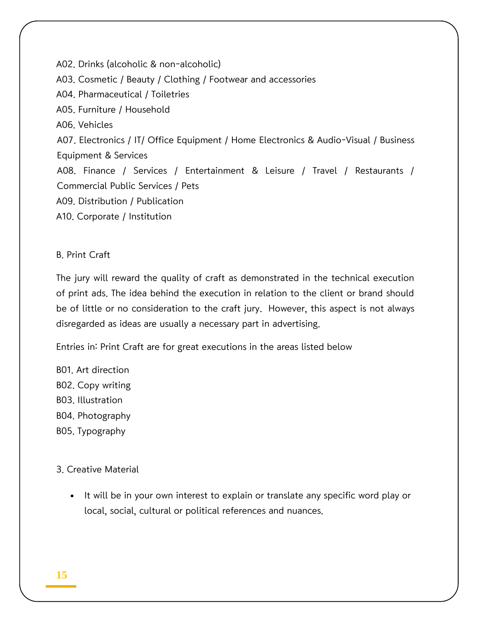A02. Drinks (alcoholic & non-alcoholic) A03. Cosmetic / Beauty / Clothing / Footwear and accessories A04. Pharmaceutical / Toiletries A05. Furniture / Household A06. Vehicles A07. Electronics / IT/ Office Equipment / Home Electronics & Audio-Visual / Business Equipment & Services A08. Finance / Services / Entertainment & Leisure / Travel / Restaurants / Commercial Public Services / Pets A09. Distribution / Publication A10. Corporate / Institution

### B. Print Craft

The jury will reward the quality of craft as demonstrated in the technical execution of print ads. The idea behind the execution in relation to the client or brand should be of little or no consideration to the craft jury. However, this aspect is not always disregarded as ideas are usually a necessary part in advertising.

Entries in: Print Craft are for great executions in the areas listed below

B01. Art direction B02. Copy writing B03. Illustration B04. Photography B05. Typography

3. Creative Material

• It will be in your own interest to explain or translate any specific word play or local, social, cultural or political references and nuances.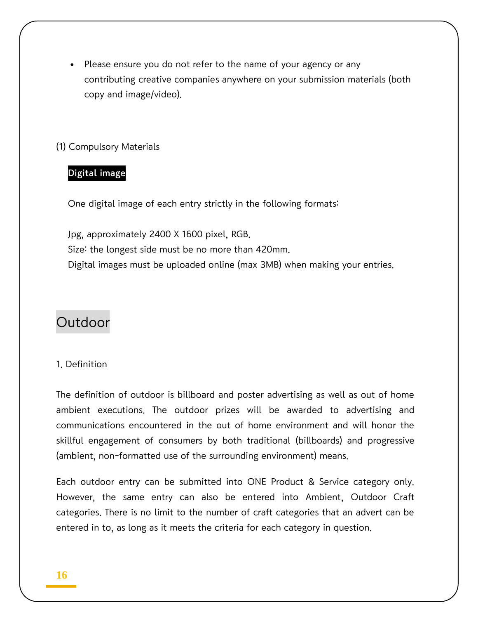Please ensure you do not refer to the name of your agency or any contributing creative companies anywhere on your submission materials (both copy and image/video).

### (1) Compulsory Materials

### Digital image

One digital image of each entry strictly in the following formats:

Jpg, approximately 2400 X 1600 pixel, RGB. Size: the longest side must be no more than 420mm. Digital images must be uploaded online (max 3MB) when making your entries.

# **Outdoor**

#### 1. Definition

The definition of outdoor is billboard and poster advertising as well as out of home ambient executions. The outdoor prizes will be awarded to advertising and communications encountered in the out of home environment and will honor the skillful engagement of consumers by both traditional (billboards) and progressive (ambient, non-formatted use of the surrounding environment) means.

Each outdoor entry can be submitted into ONE Product & Service category only. However, the same entry can also be entered into Ambient, Outdoor Craft categories. There is no limit to the number of craft categories that an advert can be entered in to, as long as it meets the criteria for each category in question.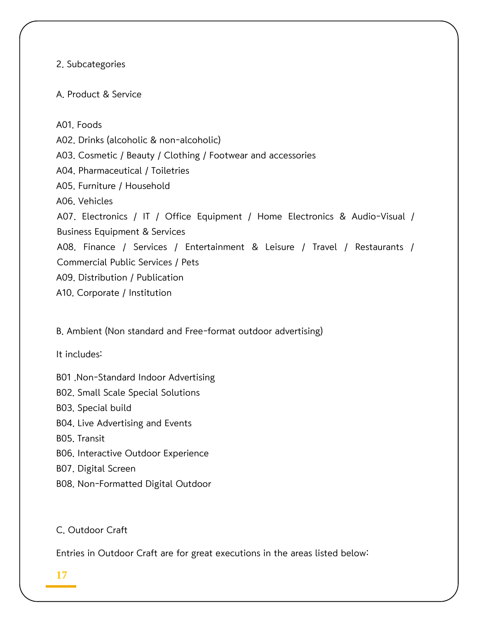2. Subcategories

A. Product & Service

A01. Foods A02. Drinks (alcoholic & non-alcoholic) A03. Cosmetic / Beauty / Clothing / Footwear and accessories A04. Pharmaceutical / Toiletries A05. Furniture / Household A06. Vehicles A07. Electronics / IT / Office Equipment / Home Electronics & Audio-Visual / Business Equipment & Services A08. Finance / Services / Entertainment & Leisure / Travel / Restaurants / Commercial Public Services / Pets A09. Distribution / Publication A10. Corporate / Institution

B. Ambient (Non standard and Free-format outdoor advertising)

It includes:

B01 .Non-Standard Indoor Advertising

B02. Small Scale Special Solutions

B03. Special build

B04. Live Advertising and Events

B05. Transit

B06. Interactive Outdoor Experience

B07. Digital Screen

B08. Non-Formatted Digital Outdoor

### C. Outdoor Craft

Entries in Outdoor Craft are for great executions in the areas listed below:

### **17**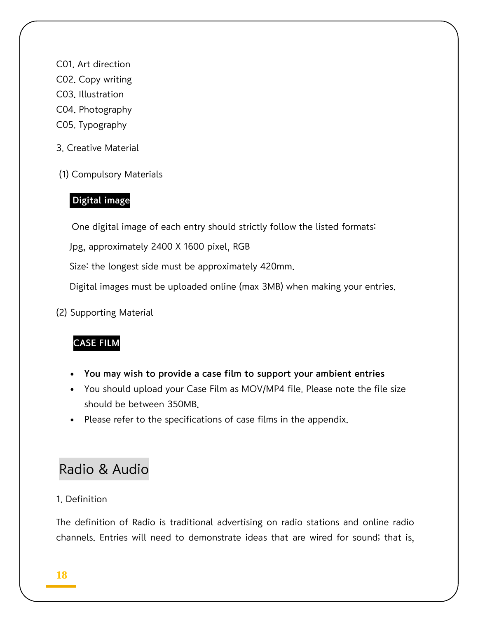- C01. Art direction
- C02. Copy writing
- C03. Illustration
- C04. Photography
- C05. Typography
- 3. Creative Material
- (1) Compulsory Materials

### Digital image

One digital image of each entry should strictly follow the listed formats:

Jpg, approximately 2400 X 1600 pixel, RGB

Size: the longest side must be approximately 420mm.

Digital images must be uploaded online (max 3MB) when making your entries.

(2) Supporting Material

### CASE FILM

- You may wish to provide a case film to support your ambient entries
- You should upload your Case Film as MOV/MP4 file. Please note the file size should be between 350MB.
- Please refer to the specifications of case films in the appendix.

# Radio & Audio

### 1. Definition

The definition of Radio is traditional advertising on radio stations and online radio channels. Entries will need to demonstrate ideas that are wired for sound; that is,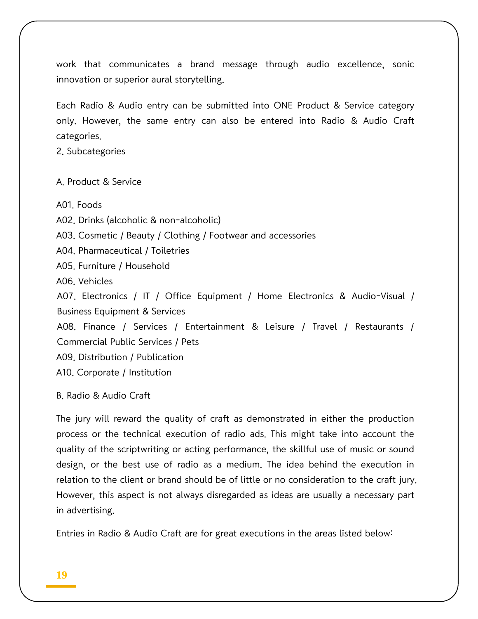work that communicates a brand message through audio excellence, sonic innovation or superior aural storytelling.

Each Radio & Audio entry can be submitted into ONE Product & Service category only. However, the same entry can also be entered into Radio & Audio Craft categories.

2. Subcategories

A. Product & Service

A01. Foods

A02. Drinks (alcoholic & non-alcoholic)

A03. Cosmetic / Beauty / Clothing / Footwear and accessories

A04. Pharmaceutical / Toiletries

A05. Furniture / Household

A06. Vehicles

A07. Electronics / IT / Office Equipment / Home Electronics & Audio-Visual / Business Equipment & Services

A08. Finance / Services / Entertainment & Leisure / Travel / Restaurants / Commercial Public Services / Pets

A09. Distribution / Publication

A10. Corporate / Institution

B. Radio & Audio Craft

The jury will reward the quality of craft as demonstrated in either the production process or the technical execution of radio ads. This might take into account the quality of the scriptwriting or acting performance, the skillful use of music or sound design, or the best use of radio as a medium. The idea behind the execution in relation to the client or brand should be of little or no consideration to the craft jury. However, this aspect is not always disregarded as ideas are usually a necessary part in advertising.

Entries in Radio & Audio Craft are for great executions in the areas listed below: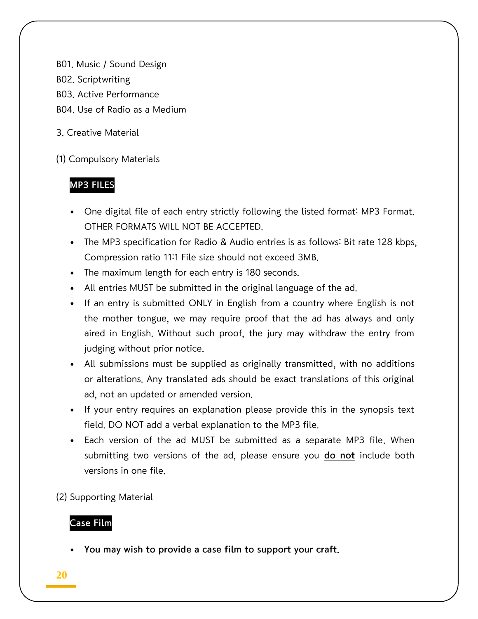B01. Music / Sound Design

- B02. Scriptwriting
- B03. Active Performance
- B04. Use of Radio as a Medium
- 3. Creative Material

(1) Compulsory Materials

# MP3 FILES

- One digital file of each entry strictly following the listed format: MP3 Format. OTHER FORMATS WILL NOT BE ACCEPTED.
- The MP3 specification for Radio & Audio entries is as follows: Bit rate 128 kbps, Compression ratio 11:1 File size should not exceed 3MB.
- The maximum length for each entry is 180 seconds.
- All entries MUST be submitted in the original language of the ad.
- If an entry is submitted ONLY in English from a country where English is not the mother tongue, we may require proof that the ad has always and only aired in English. Without such proof, the jury may withdraw the entry from judging without prior notice.
- All submissions must be supplied as originally transmitted, with no additions or alterations. Any translated ads should be exact translations of this original ad, not an updated or amended version.
- If your entry requires an explanation please provide this in the synopsis text field. DO NOT add a verbal explanation to the MP3 file.
- Each version of the ad MUST be submitted as a separate MP3 file. When submitting two versions of the ad, please ensure you do not include both versions in one file.
- (2) Supporting Material

### Case Film

You may wish to provide a case film to support your craft.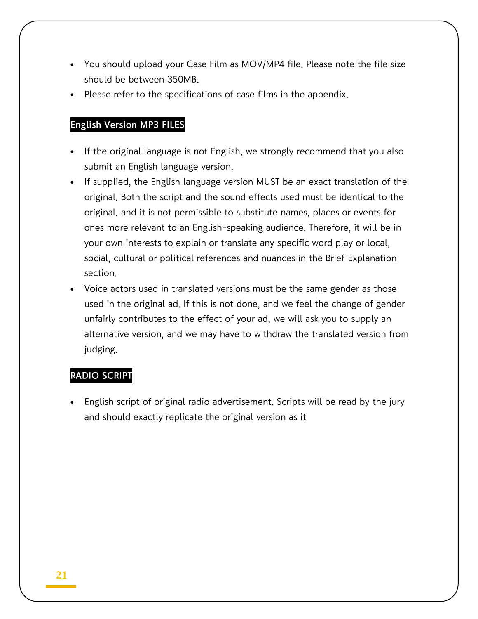- You should upload your Case Film as MOV/MP4 file. Please note the file size should be between 350MB.
- Please refer to the specifications of case films in the appendix.

### English Version MP3 FILES

- If the original language is not English, we strongly recommend that you also submit an English language version.
- If supplied, the English language version MUST be an exact translation of the original. Both the script and the sound effects used must be identical to the original, and it is not permissible to substitute names, places or events for ones more relevant to an English-speaking audience. Therefore, it will be in your own interests to explain or translate any specific word play or local, social, cultural or political references and nuances in the Brief Explanation section.
- Voice actors used in translated versions must be the same gender as those used in the original ad. If this is not done, and we feel the change of gender unfairly contributes to the effect of your ad, we will ask you to supply an alternative version, and we may have to withdraw the translated version from judging.

#### RADIO SCRIPT

 English script of original radio advertisement. Scripts will be read by the jury and should exactly replicate the original version as it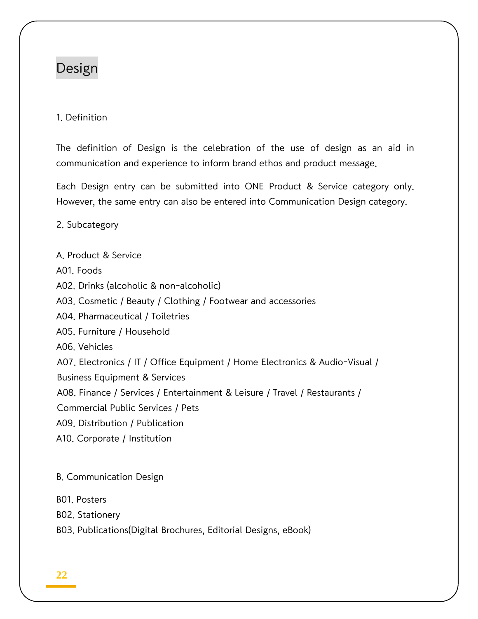# Design

### 1. Definition

The definition of Design is the celebration of the use of design as an aid in communication and experience to inform brand ethos and product message.

Each Design entry can be submitted into ONE Product & Service category only. However, the same entry can also be entered into Communication Design category.

2. Subcategory

A. Product & Service A01. Foods A02. Drinks (alcoholic & non-alcoholic) A03. Cosmetic / Beauty / Clothing / Footwear and accessories A04. Pharmaceutical / Toiletries A05. Furniture / Household A06. Vehicles A07. Electronics / IT / Office Equipment / Home Electronics & Audio-Visual / Business Equipment & Services A08. Finance / Services / Entertainment & Leisure / Travel / Restaurants / Commercial Public Services / Pets A09. Distribution / Publication A10. Corporate / Institution

B. Communication Design

B01. Posters

B02. Stationery

B03. Publications(Digital Brochures, Editorial Designs, eBook)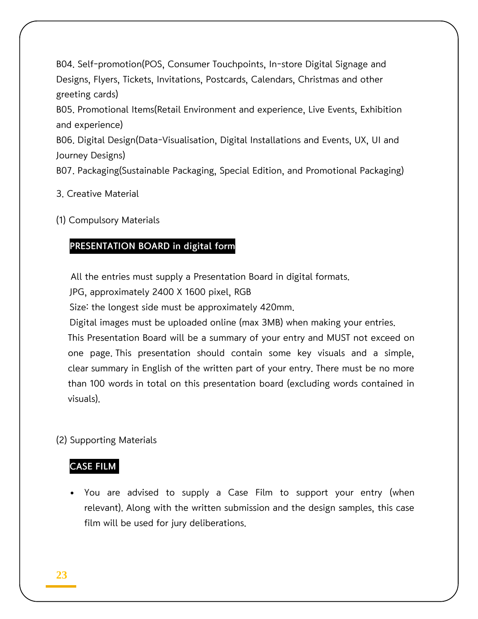B04. Self-promotion(POS, Consumer Touchpoints, In-store Digital Signage and Designs, Flyers, Tickets, Invitations, Postcards, Calendars, Christmas and other greeting cards)

B05. Promotional Items(Retail Environment and experience, Live Events, Exhibition and experience)

B06. Digital Design(Data-Visualisation, Digital Installations and Events, UX, UI and Journey Designs)

B07. Packaging(Sustainable Packaging, Special Edition, and Promotional Packaging)

- 3. Creative Material
- (1) Compulsory Materials

### PRESENTATION BOARD in digital form

All the entries must supply a Presentation Board in digital formats.

JPG, approximately 2400 X 1600 pixel, RGB

Size: the longest side must be approximately 420mm.

Digital images must be uploaded online (max 3MB) when making your entries.

This Presentation Board will be a summary of your entry and MUST not exceed on one page. This presentation should contain some key visuals and a simple, clear summary in English of the written part of your entry. There must be no more than 100 words in total on this presentation board (excluding words contained in visuals).

(2) Supporting Materials

### CASE FILM

 You are advised to supply a Case Film to support your entry (when relevant). Along with the written submission and the design samples, this case film will be used for jury deliberations.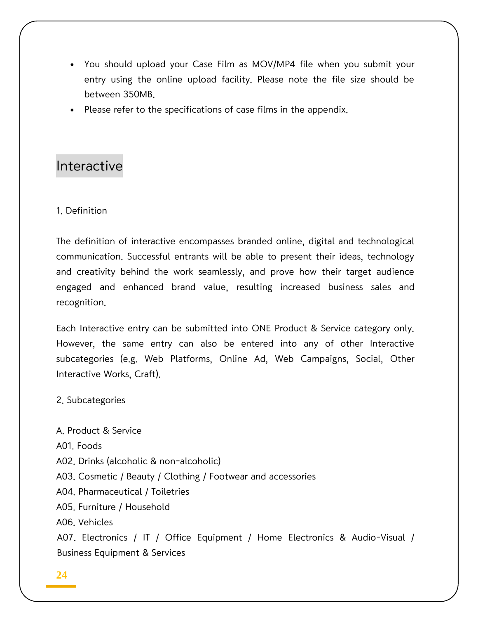- You should upload your Case Film as MOV/MP4 file when you submit your entry using the online upload facility. Please note the file size should be between 350MB.
- Please refer to the specifications of case films in the appendix.

# Interactive

#### 1. Definition

The definition of interactive encompasses branded online, digital and technological communication. Successful entrants will be able to present their ideas, technology and creativity behind the work seamlessly, and prove how their target audience engaged and enhanced brand value, resulting increased business sales and recognition.

Each Interactive entry can be submitted into ONE Product & Service category only. However, the same entry can also be entered into any of other Interactive subcategories (e.g. Web Platforms, Online Ad, Web Campaigns, Social, Other Interactive Works, Craft).

2. Subcategories

A. Product & Service A01. Foods A02. Drinks (alcoholic & non-alcoholic) A03. Cosmetic / Beauty / Clothing / Footwear and accessories A04. Pharmaceutical / Toiletries A05. Furniture / Household A06. Vehicles A07. Electronics / IT / Office Equipment / Home Electronics & Audio-Visual / Business Equipment & Services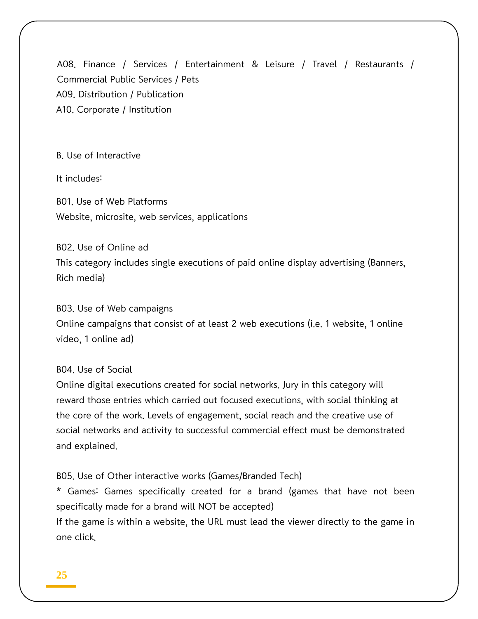A08. Finance / Services / Entertainment & Leisure / Travel / Restaurants / Commercial Public Services / Pets A09. Distribution / Publication A10. Corporate / Institution

B. Use of Interactive

It includes:

B01. Use of Web Platforms Website, microsite, web services, applications

B02. Use of Online ad

This category includes single executions of paid online display advertising (Banners, Rich media)

B03. Use of Web campaigns

Online campaigns that consist of at least 2 web executions (i.e. 1 website, 1 online video, 1 online ad)

B04. Use of Social

Online digital executions created for social networks. Jury in this category will reward those entries which carried out focused executions, with social thinking at the core of the work. Levels of engagement, social reach and the creative use of social networks and activity to successful commercial effect must be demonstrated and explained.

B05. Use of Other interactive works (Games/Branded Tech)

\* Games: Games specifically created for a brand (games that have not been specifically made for a brand will NOT be accepted)

If the game is within a website, the URL must lead the viewer directly to the game in one click.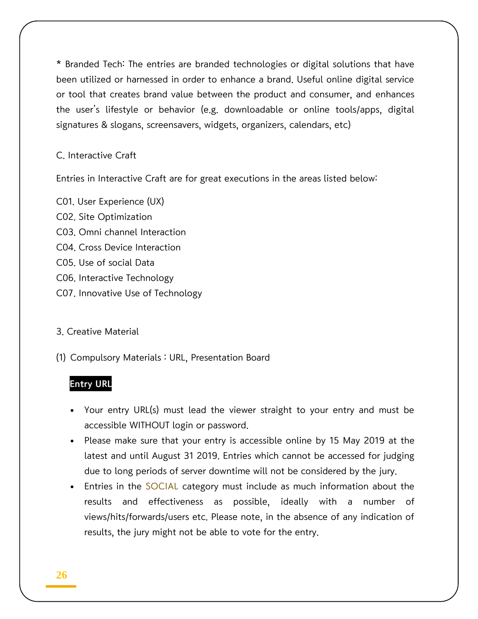\* Branded Tech: The entries are branded technologies or digital solutions that have been utilized or harnessed in order to enhance a brand. Useful online digital service or tool that creates brand value between the product and consumer, and enhances the user's lifestyle or behavior (e.g. downloadable or online tools/apps, digital signatures & slogans, screensavers, widgets, organizers, calendars, etc)

### C. Interactive Craft

Entries in Interactive Craft are for great executions in the areas listed below:

C01. User Experience (UX) C02. Site Optimization C03. Omni channel Interaction C04. Cross Device Interaction C05. Use of social Data C06. Interactive Technology C07. Innovative Use of Technology

### 3. Creative Material

(1) Compulsory Materials : URL, Presentation Board

### Entry URL

- Your entry URL(s) must lead the viewer straight to your entry and must be accessible WITHOUT login or password.
- Please make sure that your entry is accessible online by 15 May 2019 at the latest and until August 31 2019. Entries which cannot be accessed for judging due to long periods of server downtime will not be considered by the jury.
- Entries in the SOCIAL category must include as much information about the results and effectiveness as possible, ideally with a number of views/hits/forwards/users etc. Please note, in the absence of any indication of results, the jury might not be able to vote for the entry.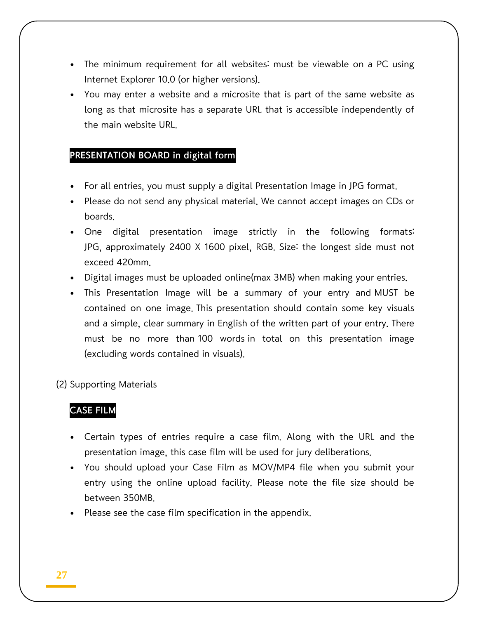- The minimum requirement for all websites: must be viewable on a PC using Internet Explorer 10.0 (or higher versions).
- You may enter a website and a microsite that is part of the same website as long as that microsite has a separate URL that is accessible independently of the main website URL.

### PRESENTATION BOARD in digital form

- For all entries, you must supply a digital Presentation Image in JPG format.
- Please do not send any physical material. We cannot accept images on CDs or boards.
- One digital presentation image strictly in the following formats: JPG, approximately 2400 X 1600 pixel, RGB. Size: the longest side must not exceed 420mm.
- Digital images must be uploaded online(max 3MB) when making your entries.
- This Presentation Image will be a summary of your entry and MUST be contained on one image. This presentation should contain some key visuals and a simple, clear summary in English of the written part of your entry. There must be no more than 100 words in total on this presentation image (excluding words contained in visuals).

### (2) Supporting Materials

### CASE FILM

- Certain types of entries require a case film. Along with the URL and the presentation image, this case film will be used for jury deliberations.
- You should upload your Case Film as MOV/MP4 file when you submit your entry using the online upload facility. Please note the file size should be between 350MB.
- Please see the case film specification in the appendix.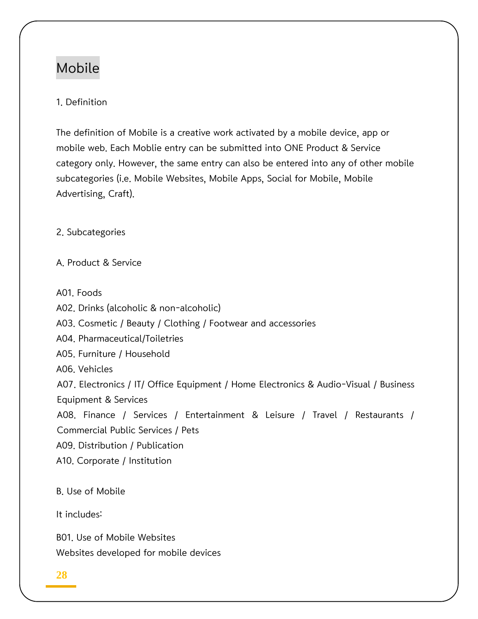# Mobile

### 1. Definition

The definition of Mobile is a creative work activated by a mobile device, app or mobile web. Each Moblie entry can be submitted into ONE Product & Service category only. However, the same entry can also be entered into any of other mobile subcategories (i.e. Mobile Websites, Mobile Apps, Social for Mobile, Mobile Advertising, Craft).

2. Subcategories

A. Product & Service

A01. Foods

A02. Drinks (alcoholic & non-alcoholic)

A03. Cosmetic / Beauty / Clothing / Footwear and accessories

A04. Pharmaceutical/Toiletries

A05. Furniture / Household

A06. Vehicles

A07. Electronics / IT/ Office Equipment / Home Electronics & Audio-Visual / Business Equipment & Services

A08. Finance / Services / Entertainment & Leisure / Travel / Restaurants / Commercial Public Services / Pets

A09. Distribution / Publication

A10. Corporate / Institution

B. Use of Mobile

It includes:

B01. Use of Mobile Websites Websites developed for mobile devices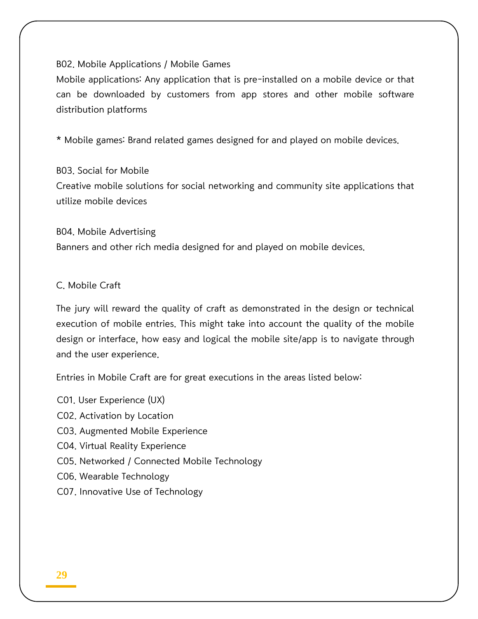#### B02. Mobile Applications / Mobile Games

Mobile applications: Any application that is pre-installed on a mobile device or that can be downloaded by customers from app stores and other mobile software distribution platforms

\* Mobile games: Brand related games designed for and played on mobile devices.

#### B03. Social for Mobile

Creative mobile solutions for social networking and community site applications that utilize mobile devices

B04. Mobile Advertising Banners and other rich media designed for and played on mobile devices.

C. Mobile Craft

The jury will reward the quality of craft as demonstrated in the design or technical execution of mobile entries. This might take into account the quality of the mobile design or interface, how easy and logical the mobile site/app is to navigate through and the user experience.

Entries in Mobile Craft are for great executions in the areas listed below:

C01. User Experience (UX) C02. Activation by Location C03. Augmented Mobile Experience C04. Virtual Reality Experience C05. Networked / Connected Mobile Technology C06. Wearable Technology C07. Innovative Use of Technology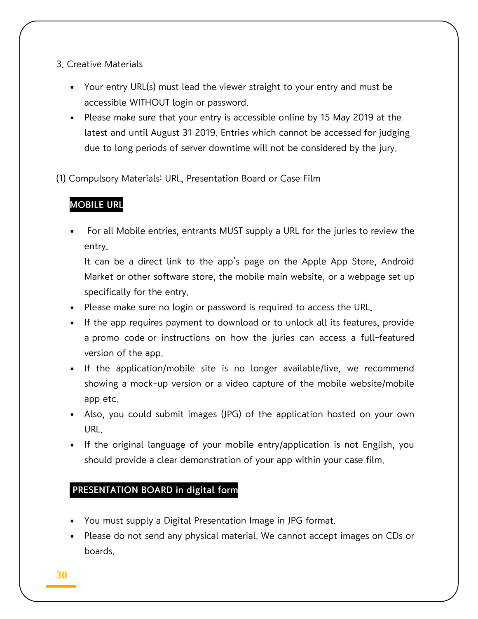- 3. Creative Materials
	- Your entry URL(s) must lead the viewer straight to your entry and must be accessible WITHOUT login or password.
	- Please make sure that your entry is accessible online by 15 May 2019 at the latest and until August 31 2019. Entries which cannot be accessed for judging due to long periods of server downtime will not be considered by the jury.
- (1) Compulsory Materials: URL, Presentation Board or Case Film

### MOBILE URL

 For all Mobile entries, entrants MUST supply a URL for the juries to review the entry.

It can be a direct link to the app's page on the Apple App Store, Android Market or other software store, the mobile main website, or a webpage set up specifically for the entry.

- Please make sure no login or password is required to access the URL.
- If the app requires payment to download or to unlock all its features, provide a promo code or instructions on how the juries can access a full-featured version of the app.
- If the application/mobile site is no longer available/live, we recommend showing a mock-up version or a video capture of the mobile website/mobile app etc.
- Also, you could submit images (JPG) of the application hosted on your own URL.
- If the original language of your mobile entry/application is not English, you should provide a clear demonstration of your app within your case film.

### PRESENTATION BOARD in digital form

- You must supply a Digital Presentation Image in JPG format.
- Please do not send any physical material. We cannot accept images on CDs or boards.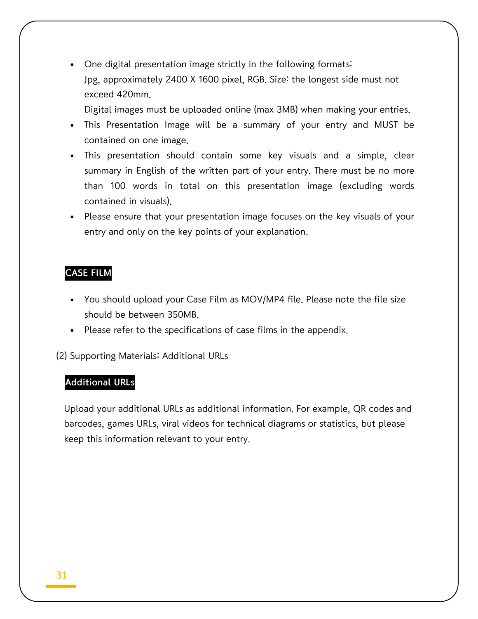One digital presentation image strictly in the following formats: Jpg, approximately 2400 X 1600 pixel, RGB. Size: the longest side must not exceed 420mm.

Digital images must be uploaded online (max 3MB) when making your entries.

- This Presentation Image will be a summary of your entry and MUST be contained on one image.
- This presentation should contain some key visuals and a simple, clear summary in English of the written part of your entry. There must be no more than 100 words in total on this presentation image (excluding words contained in visuals).
- Please ensure that your presentation image focuses on the key visuals of your entry and only on the key points of your explanation.

### CASE FILM

- You should upload your Case Film as MOV/MP4 file. Please note the file size should be between 350MB.
- Please refer to the specifications of case films in the appendix.

(2) Supporting Materials: Additional URLs

### Additional URLs

Upload your additional URLs as additional information. For example, QR codes and barcodes, games URLs, viral videos for technical diagrams or statistics, but please keep this information relevant to your entry.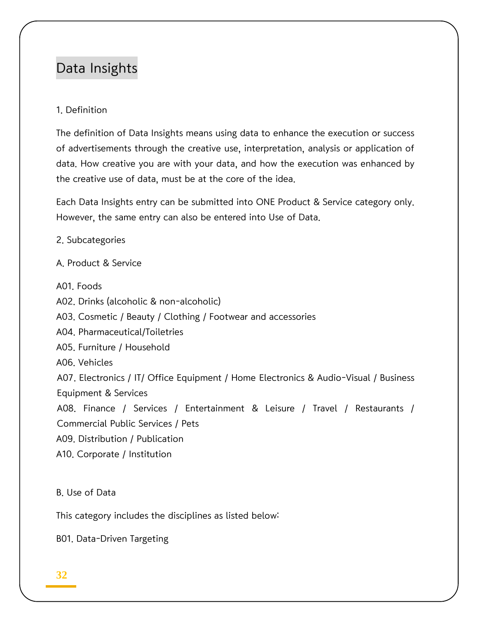# Data Insights

### 1. Definition

The definition of Data Insights means using data to enhance the execution or success of advertisements through the creative use, interpretation, analysis or application of data. How creative you are with your data, and how the execution was enhanced by the creative use of data, must be at the core of the idea.

Each Data Insights entry can be submitted into ONE Product & Service category only. However, the same entry can also be entered into Use of Data.

2. Subcategories

A. Product & Service

A01. Foods

A02. Drinks (alcoholic & non-alcoholic)

A03. Cosmetic / Beauty / Clothing / Footwear and accessories

A04. Pharmaceutical/Toiletries

A05. Furniture / Household

A06. Vehicles

A07. Electronics / IT/ Office Equipment / Home Electronics & Audio-Visual / Business Equipment & Services

A08. Finance / Services / Entertainment & Leisure / Travel / Restaurants / Commercial Public Services / Pets

A09. Distribution / Publication

A10. Corporate / Institution

B. Use of Data

This category includes the disciplines as listed below:

B01. Data-Driven Targeting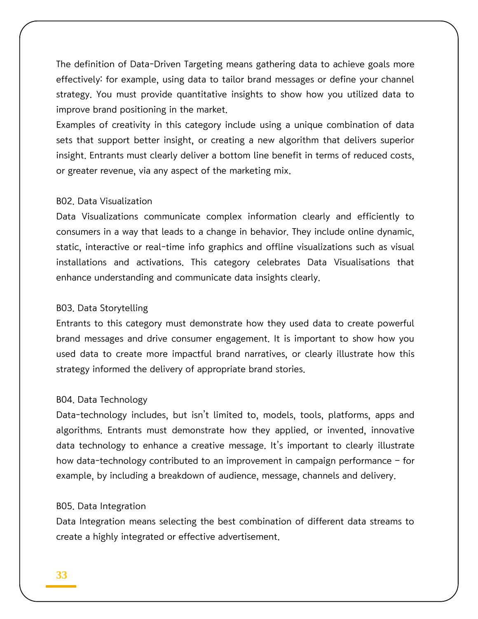The definition of Data-Driven Targeting means gathering data to achieve goals more effectively: for example, using data to tailor brand messages or define your channel strategy. You must provide quantitative insights to show how you utilized data to improve brand positioning in the market.

Examples of creativity in this category include using a unique combination of data sets that support better insight, or creating a new algorithm that delivers superior insight. Entrants must clearly deliver a bottom line benefit in terms of reduced costs, or greater revenue, via any aspect of the marketing mix.

#### B02. Data Visualization

Data Visualizations communicate complex information clearly and efficiently to consumers in a way that leads to a change in behavior. They include online dynamic, static, interactive or real-time info graphics and offline visualizations such as visual installations and activations. This category celebrates Data Visualisations that enhance understanding and communicate data insights clearly.

#### B03. Data Storytelling

Entrants to this category must demonstrate how they used data to create powerful brand messages and drive consumer engagement. It is important to show how you used data to create more impactful brand narratives, or clearly illustrate how this strategy informed the delivery of appropriate brand stories.

#### B04. Data Technology

Data-technology includes, but isn't limited to, models, tools, platforms, apps and algorithms. Entrants must demonstrate how they applied, or invented, innovative data technology to enhance a creative message. It's important to clearly illustrate how data-technology contributed to an improvement in campaign performance – for example, by including a breakdown of audience, message, channels and delivery.

#### B05. Data Integration

Data Integration means selecting the best combination of different data streams to create a highly integrated or effective advertisement.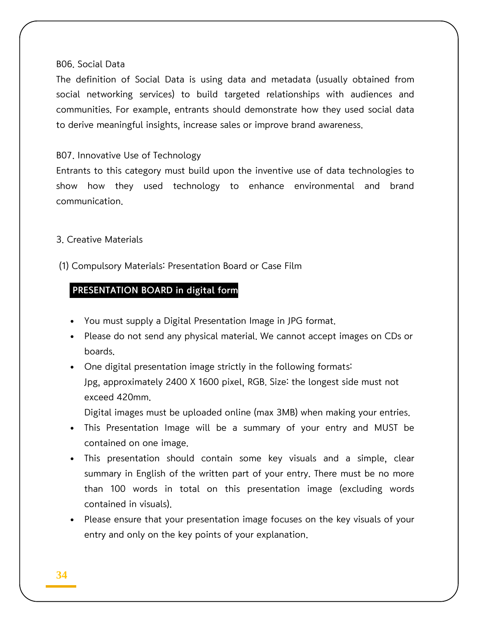#### B06. Social Data

The definition of Social Data is using data and metadata (usually obtained from social networking services) to build targeted relationships with audiences and communities. For example, entrants should demonstrate how they used social data to derive meaningful insights, increase sales or improve brand awareness.

#### B07. Innovative Use of Technology

Entrants to this category must build upon the inventive use of data technologies to show how they used technology to enhance environmental and brand communication.

3. Creative Materials

(1) Compulsory Materials: Presentation Board or Case Film

### PRESENTATION BOARD in digital form

- You must supply a Digital Presentation Image in JPG format.
- Please do not send any physical material. We cannot accept images on CDs or boards.
- One digital presentation image strictly in the following formats: Jpg, approximately 2400 X 1600 pixel, RGB. Size: the longest side must not exceed 420mm.

Digital images must be uploaded online (max 3MB) when making your entries.

- This Presentation Image will be a summary of your entry and MUST be contained on one image.
- This presentation should contain some key visuals and a simple, clear summary in English of the written part of your entry. There must be no more than 100 words in total on this presentation image (excluding words contained in visuals).
- Please ensure that your presentation image focuses on the key visuals of your entry and only on the key points of your explanation.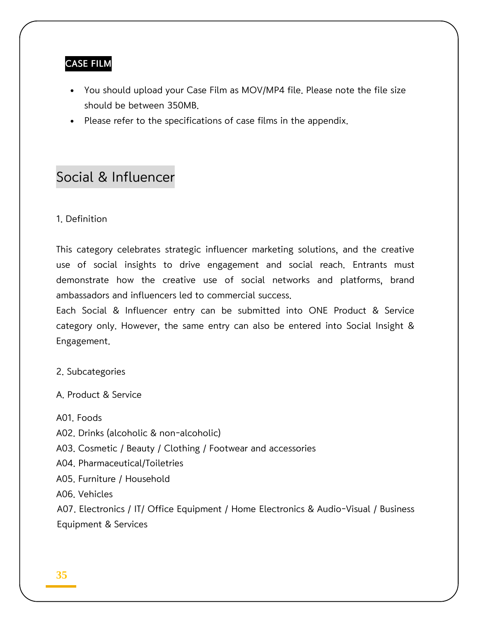### CASE FILM

- You should upload your Case Film as MOV/MP4 file. Please note the file size should be between 350MB.
- Please refer to the specifications of case films in the appendix.

# Social & Influencer

### 1. Definition

This category celebrates strategic influencer marketing solutions, and the creative use of social insights to drive engagement and social reach. Entrants must demonstrate how the creative use of social networks and platforms, brand ambassadors and influencers led to commercial success.

Each Social & Influencer entry can be submitted into ONE Product & Service category only. However, the same entry can also be entered into Social Insight & Engagement.

2. Subcategories

A. Product & Service

A01. Foods

A02. Drinks (alcoholic & non-alcoholic)

A03. Cosmetic / Beauty / Clothing / Footwear and accessories

A04. Pharmaceutical/Toiletries

A05. Furniture / Household

A06. Vehicles

A07. Electronics / IT/ Office Equipment / Home Electronics & Audio-Visual / Business Equipment & Services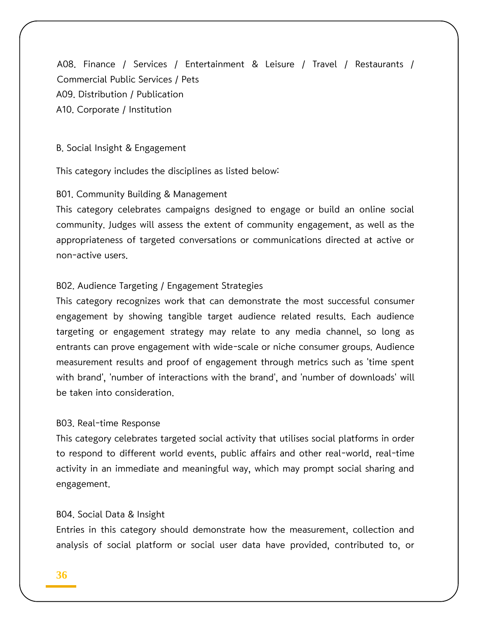A08. Finance / Services / Entertainment & Leisure / Travel / Restaurants / Commercial Public Services / Pets A09. Distribution / Publication A10. Corporate / Institution

B. Social Insight & Engagement

This category includes the disciplines as listed below:

B01. Community Building & Management

This category celebrates campaigns designed to engage or build an online social community. Judges will assess the extent of community engagement, as well as the appropriateness of targeted conversations or communications directed at active or non-active users.

#### B02. Audience Targeting / Engagement Strategies

This category recognizes work that can demonstrate the most successful consumer engagement by showing tangible target audience related results. Each audience targeting or engagement strategy may relate to any media channel, so long as entrants can prove engagement with wide-scale or niche consumer groups. Audience measurement results and proof of engagement through metrics such as 'time spent with brand', 'number of interactions with the brand', and 'number of downloads' will be taken into consideration.

#### B03. Real-time Response

This category celebrates targeted social activity that utilises social platforms in order to respond to different world events, public affairs and other real-world, real-time activity in an immediate and meaningful way, which may prompt social sharing and engagement.

#### B04. Social Data & Insight

Entries in this category should demonstrate how the measurement, collection and analysis of social platform or social user data have provided, contributed to, or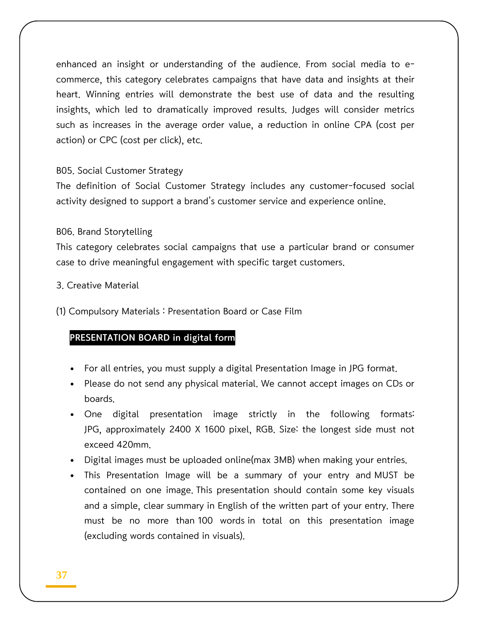enhanced an insight or understanding of the audience. From social media to ecommerce, this category celebrates campaigns that have data and insights at their heart. Winning entries will demonstrate the best use of data and the resulting insights, which led to dramatically improved results. Judges will consider metrics such as increases in the average order value, a reduction in online CPA (cost per action) or CPC (cost per click), etc.

#### B05. Social Customer Strategy

The definition of Social Customer Strategy includes any customer-focused social activity designed to support a brand's customer service and experience online.

#### B06. Brand Storytelling

This category celebrates social campaigns that use a particular brand or consumer case to drive meaningful engagement with specific target customers.

- 3. Creative Material
- (1) Compulsory Materials : Presentation Board or Case Film

### PRESENTATION BOARD in digital form

- For all entries, you must supply a digital Presentation Image in JPG format.
- Please do not send any physical material. We cannot accept images on CDs or boards.
- One digital presentation image strictly in the following formats: JPG, approximately 2400 X 1600 pixel, RGB. Size: the longest side must not exceed 420mm.
- Digital images must be uploaded online(max 3MB) when making your entries.
- This Presentation Image will be a summary of your entry and MUST be contained on one image. This presentation should contain some key visuals and a simple, clear summary in English of the written part of your entry. There must be no more than 100 words in total on this presentation image (excluding words contained in visuals).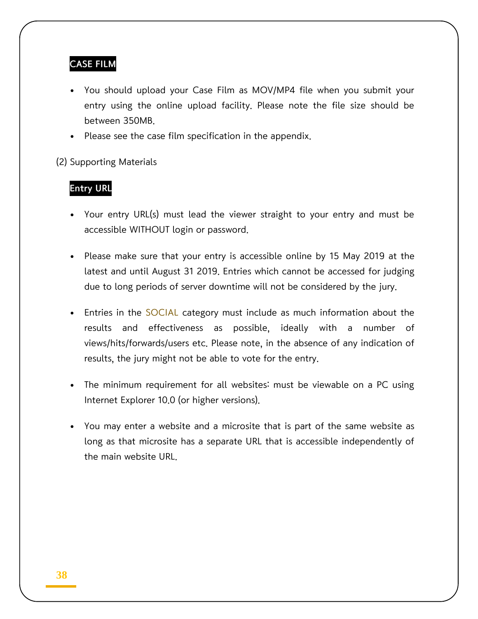### CASE FILM

- You should upload your Case Film as MOV/MP4 file when you submit your entry using the online upload facility. Please note the file size should be between 350MB.
- Please see the case film specification in the appendix.

(2) Supporting Materials

### Entry URL

- Your entry URL(s) must lead the viewer straight to your entry and must be accessible WITHOUT login or password.
- Please make sure that your entry is accessible online by 15 May 2019 at the latest and until August 31 2019. Entries which cannot be accessed for judging due to long periods of server downtime will not be considered by the jury.
- Entries in the SOCIAL category must include as much information about the results and effectiveness as possible, ideally with a number of views/hits/forwards/users etc. Please note, in the absence of any indication of results, the jury might not be able to vote for the entry.
- The minimum requirement for all websites: must be viewable on a PC using Internet Explorer 10.0 (or higher versions).
- You may enter a website and a microsite that is part of the same website as long as that microsite has a separate URL that is accessible independently of the main website URL.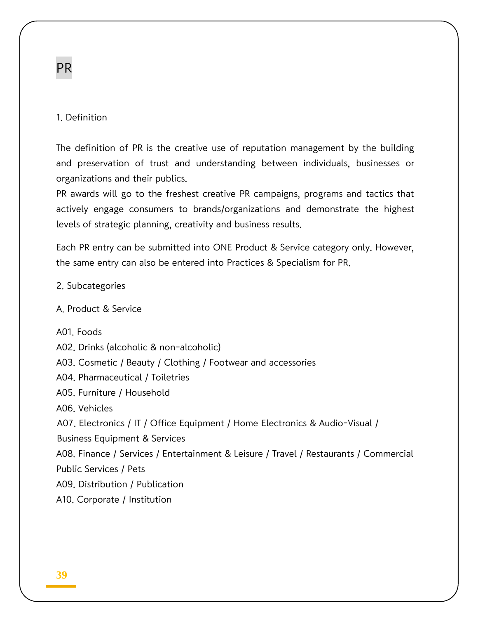# PR

### 1. Definition

The definition of PR is the creative use of reputation management by the building and preservation of trust and understanding between individuals, businesses or organizations and their publics.

PR awards will go to the freshest creative PR campaigns, programs and tactics that actively engage consumers to brands/organizations and demonstrate the highest levels of strategic planning, creativity and business results.

Each PR entry can be submitted into ONE Product & Service category only. However, the same entry can also be entered into Practices & Specialism for PR.

2. Subcategories

A. Product & Service

A01. Foods

A02. Drinks (alcoholic & non-alcoholic)

A03. Cosmetic / Beauty / Clothing / Footwear and accessories

A04. Pharmaceutical / Toiletries

A05. Furniture / Household

A06. Vehicles

A07. Electronics / IT / Office Equipment / Home Electronics & Audio-Visual /

Business Equipment & Services

A08. Finance / Services / Entertainment & Leisure / Travel / Restaurants / Commercial Public Services / Pets

A09. Distribution / Publication

A10. Corporate / Institution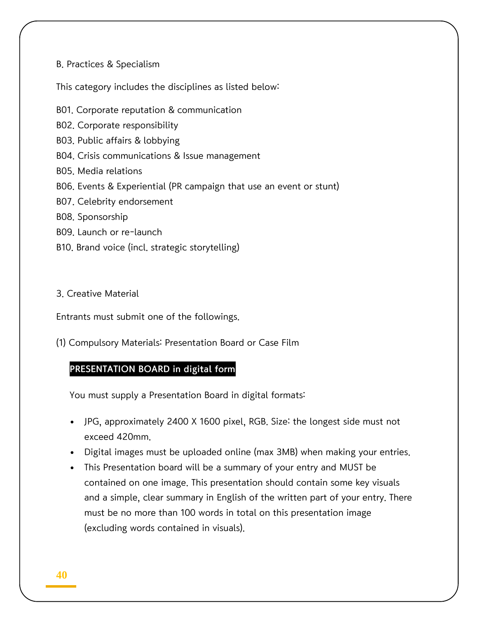#### B. Practices & Specialism

This category includes the disciplines as listed below:

- B01. Corporate reputation & communication
- B02. Corporate responsibility
- B03. Public affairs & lobbying
- B04. Crisis communications & Issue management
- B05. Media relations
- B06. Events & Experiential (PR campaign that use an event or stunt)
- B07. Celebrity endorsement
- B08. Sponsorship
- B09. Launch or re-launch
- B10. Brand voice (incl. strategic storytelling)

#### 3. Creative Material

Entrants must submit one of the followings.

(1) Compulsory Materials: Presentation Board or Case Film

### PRESENTATION BOARD in digital form

You must supply a Presentation Board in digital formats:

- JPG, approximately 2400 X 1600 pixel, RGB. Size: the longest side must not exceed 420mm.
- Digital images must be uploaded online (max 3MB) when making your entries.
- This Presentation board will be a summary of your entry and MUST be contained on one image. This presentation should contain some key visuals and a simple, clear summary in English of the written part of your entry. There must be no more than 100 words in total on this presentation image (excluding words contained in visuals).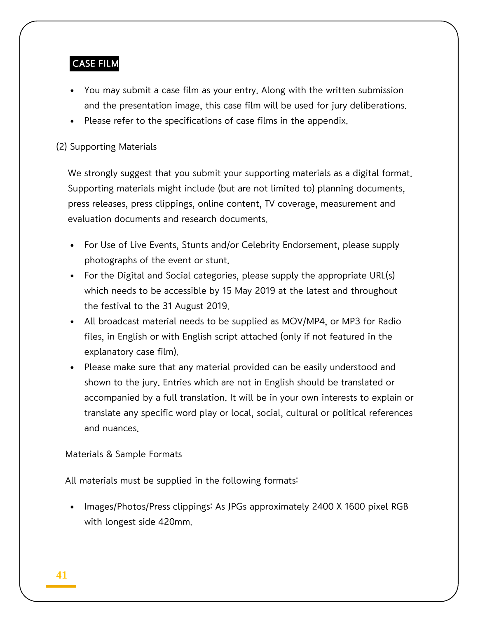### CASE FILM

- You may submit a case film as your entry. Along with the written submission and the presentation image, this case film will be used for jury deliberations.
- Please refer to the specifications of case films in the appendix.

### (2) Supporting Materials

We strongly suggest that you submit your supporting materials as a digital format. Supporting materials might include (but are not limited to) planning documents, press releases, press clippings, online content, TV coverage, measurement and evaluation documents and research documents.

- For Use of Live Events, Stunts and/or Celebrity Endorsement, please supply photographs of the event or stunt.
- For the Digital and Social categories, please supply the appropriate URL(s) which needs to be accessible by 15 May 2019 at the latest and throughout the festival to the 31 August 2019.
- All broadcast material needs to be supplied as MOV/MP4, or MP3 for Radio files, in English or with English script attached (only if not featured in the explanatory case film).
- Please make sure that any material provided can be easily understood and shown to the jury. Entries which are not in English should be translated or accompanied by a full translation. It will be in your own interests to explain or translate any specific word play or local, social, cultural or political references and nuances.

### Materials & Sample Formats

All materials must be supplied in the following formats:

 Images/Photos/Press clippings: As JPGs approximately 2400 X 1600 pixel RGB with longest side 420mm.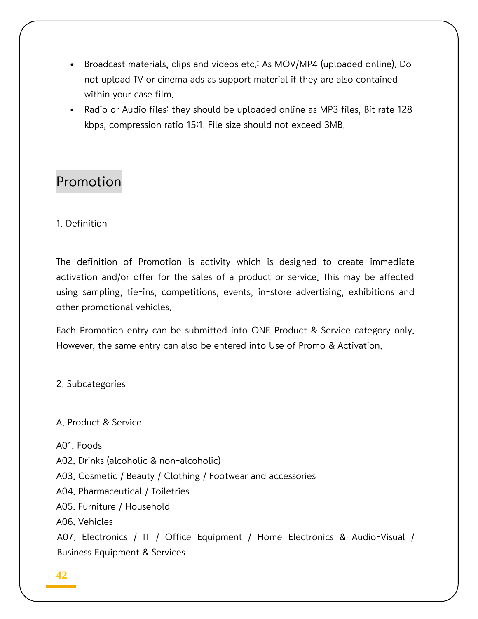- Broadcast materials, clips and videos etc.: As MOV/MP4 (uploaded online). Do not upload TV or cinema ads as support material if they are also contained within your case film.
- Radio or Audio files: they should be uploaded online as MP3 files, Bit rate 128 kbps, compression ratio 15:1. File size should not exceed 3MB.

# Promotion

1. Definition

The definition of Promotion is activity which is designed to create immediate activation and/or offer for the sales of a product or service. This may be affected using sampling, tie-ins, competitions, events, in-store advertising, exhibitions and other promotional vehicles.

Each Promotion entry can be submitted into ONE Product & Service category only. However, the same entry can also be entered into Use of Promo & Activation.

2. Subcategories

A. Product & Service

A01. Foods

A02. Drinks (alcoholic & non-alcoholic)

A03. Cosmetic / Beauty / Clothing / Footwear and accessories

A04. Pharmaceutical / Toiletries

A05. Furniture / Household

A06. Vehicles

A07. Electronics / IT / Office Equipment / Home Electronics & Audio-Visual / Business Equipment & Services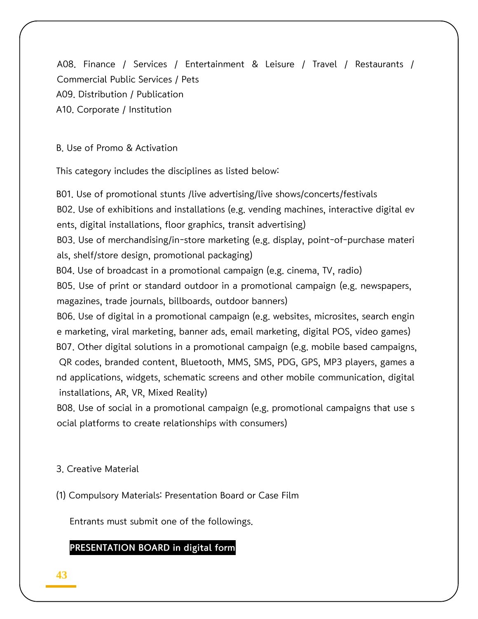A08. Finance / Services / Entertainment & Leisure / Travel / Restaurants / Commercial Public Services / Pets A09. Distribution / Publication A10. Corporate / Institution

B. Use of Promo & Activation

This category includes the disciplines as listed below:

B01. Use of promotional stunts /live advertising/live shows/concerts/festivals B02. Use of exhibitions and installations (e.g. vending machines, interactive digital ev ents, digital installations, floor graphics, transit advertising) B03. Use of merchandising/in-store marketing (e.g. display, point-of-purchase materi als, shelf/store design, promotional packaging) B04. Use of broadcast in a promotional campaign (e.g. cinema, TV, radio) B05. Use of print or standard outdoor in a promotional campaign (e.g. newspapers, magazines, trade journals, billboards, outdoor banners) B06. Use of digital in a promotional campaign (e.g. websites, microsites, search engin e marketing, viral marketing, banner ads, email marketing, digital POS, video games) B07. Other digital solutions in a promotional campaign (e.g. mobile based campaigns, QR codes, branded content, Bluetooth, MMS, SMS, PDG, GPS, MP3 players, games a nd applications, widgets, schematic screens and other mobile communication, digital installations, AR, VR, Mixed Reality)

B08. Use of social in a promotional campaign (e.g. promotional campaigns that use s ocial platforms to create relationships with consumers)

### 3. Creative Material

(1) Compulsory Materials: Presentation Board or Case Film

Entrants must submit one of the followings.

### PRESENTATION BOARD in digital form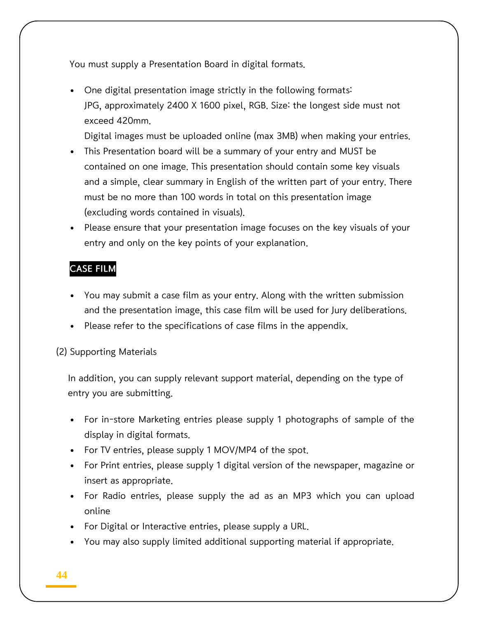You must supply a Presentation Board in digital formats.

 One digital presentation image strictly in the following formats: JPG, approximately 2400 X 1600 pixel, RGB. Size: the longest side must not exceed 420mm.

Digital images must be uploaded online (max 3MB) when making your entries.

- This Presentation board will be a summary of your entry and MUST be contained on one image. This presentation should contain some key visuals and a simple, clear summary in English of the written part of your entry. There must be no more than 100 words in total on this presentation image (excluding words contained in visuals).
- Please ensure that your presentation image focuses on the key visuals of your entry and only on the key points of your explanation.

### CASE FILM

- You may submit a case film as your entry. Along with the written submission and the presentation image, this case film will be used for Jury deliberations.
- Please refer to the specifications of case films in the appendix.

### (2) Supporting Materials

In addition, you can supply relevant support material, depending on the type of entry you are submitting.

- For in-store Marketing entries please supply 1 photographs of sample of the display in digital formats.
- For TV entries, please supply 1 MOV/MP4 of the spot.
- For Print entries, please supply 1 digital version of the newspaper, magazine or insert as appropriate.
- For Radio entries, please supply the ad as an MP3 which you can upload online
- For Digital or Interactive entries, please supply a URL.
- You may also supply limited additional supporting material if appropriate.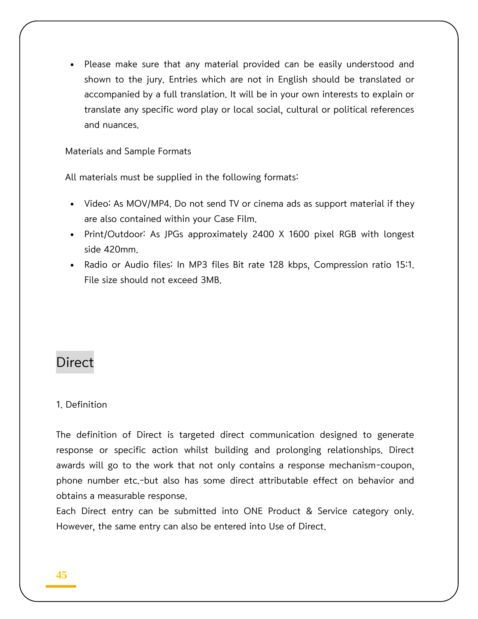Please make sure that any material provided can be easily understood and shown to the jury. Entries which are not in English should be translated or accompanied by a full translation. It will be in your own interests to explain or translate any specific word play or local social, cultural or political references and nuances.

### Materials and Sample Formats

All materials must be supplied in the following formats:

- Video: As MOV/MP4. Do not send TV or cinema ads as support material if they are also contained within your Case Film.
- Print/Outdoor: As JPGs approximately 2400 X 1600 pixel RGB with longest side 420mm.
- Radio or Audio files: In MP3 files Bit rate 128 kbps, Compression ratio 15:1. File size should not exceed 3MB.

# Direct

#### 1. Definition

The definition of Direct is targeted direct communication designed to generate response or specific action whilst building and prolonging relationships. Direct awards will go to the work that not only contains a response mechanism-coupon, phone number etc.-but also has some direct attributable effect on behavior and obtains a measurable response.

Each Direct entry can be submitted into ONE Product & Service category only. However, the same entry can also be entered into Use of Direct.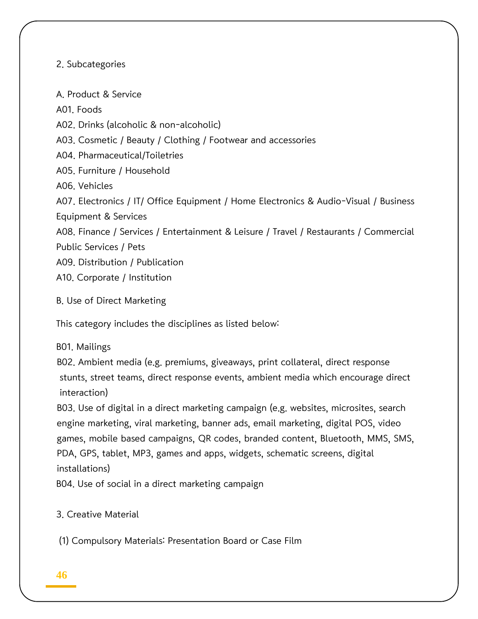### 2. Subcategories

A. Product & Service A01. Foods A02. Drinks (alcoholic & non-alcoholic) A03. Cosmetic / Beauty / Clothing / Footwear and accessories A04. Pharmaceutical/Toiletries A05. Furniture / Household A06. Vehicles A07. Electronics / IT/ Office Equipment / Home Electronics & Audio-Visual / Business Equipment & Services A08. Finance / Services / Entertainment & Leisure / Travel / Restaurants / Commercial Public Services / Pets A09. Distribution / Publication A10. Corporate / Institution

B. Use of Direct Marketing

This category includes the disciplines as listed below:

### B01. Mailings

B02. Ambient media (e.g. premiums, giveaways, print collateral, direct response stunts, street teams, direct response events, ambient media which encourage direct interaction)

B03. Use of digital in a direct marketing campaign (e.g. websites, microsites, search engine marketing, viral marketing, banner ads, email marketing, digital POS, video games, mobile based campaigns, QR codes, branded content, Bluetooth, MMS, SMS, PDA, GPS, tablet, MP3, games and apps, widgets, schematic screens, digital installations)

B04. Use of social in a direct marketing campaign

3. Creative Material

(1) Compulsory Materials: Presentation Board or Case Film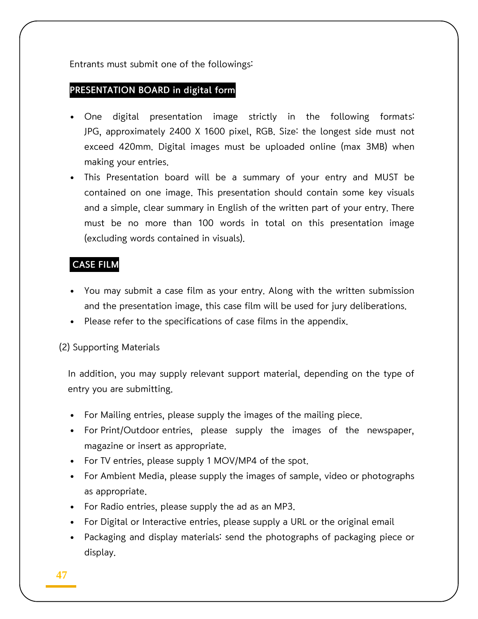Entrants must submit one of the followings:

### PRESENTATION BOARD in digital form

- One digital presentation image strictly in the following formats: JPG, approximately 2400 X 1600 pixel, RGB. Size: the longest side must not exceed 420mm. Digital images must be uploaded online (max 3MB) when making your entries.
- This Presentation board will be a summary of your entry and MUST be contained on one image. This presentation should contain some key visuals and a simple, clear summary in English of the written part of your entry. There must be no more than 100 words in total on this presentation image (excluding words contained in visuals).

### CASE FILM

- You may submit a case film as your entry. Along with the written submission and the presentation image, this case film will be used for jury deliberations.
- Please refer to the specifications of case films in the appendix.

### (2) Supporting Materials

In addition, you may supply relevant support material, depending on the type of entry you are submitting.

- For Mailing entries, please supply the images of the mailing piece.
- For Print/Outdoor entries, please supply the images of the newspaper, magazine or insert as appropriate.
- For TV entries, please supply 1 MOV/MP4 of the spot.
- For Ambient Media, please supply the images of sample, video or photographs as appropriate.
- For Radio entries, please supply the ad as an MP3.
- For Digital or Interactive entries, please supply a URL or the original email
- Packaging and display materials: send the photographs of packaging piece or display.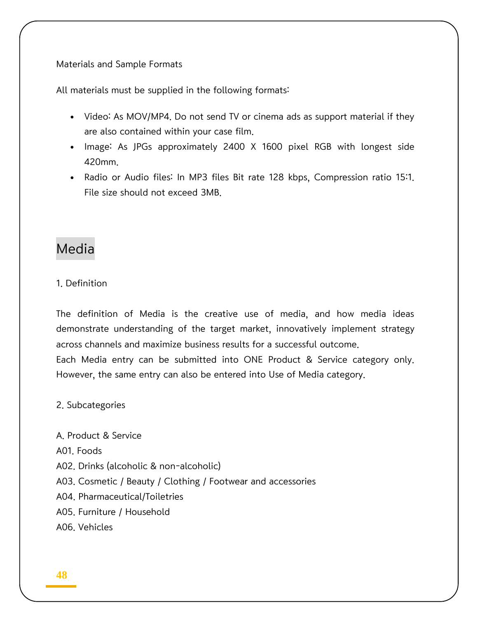Materials and Sample Formats

All materials must be supplied in the following formats:

- Video: As MOV/MP4. Do not send TV or cinema ads as support material if they are also contained within your case film.
- Image: As JPGs approximately 2400 X 1600 pixel RGB with longest side 420mm.
- Radio or Audio files: In MP3 files Bit rate 128 kbps, Compression ratio 15:1. File size should not exceed 3MB.

# Media

### 1. Definition

The definition of Media is the creative use of media, and how media ideas demonstrate understanding of the target market, innovatively implement strategy across channels and maximize business results for a successful outcome. Each Media entry can be submitted into ONE Product & Service category only. However, the same entry can also be entered into Use of Media category.

### 2. Subcategories

A. Product & Service A01. Foods A02. Drinks (alcoholic & non-alcoholic) A03. Cosmetic / Beauty / Clothing / Footwear and accessories A04. Pharmaceutical/Toiletries A05. Furniture / Household A06. Vehicles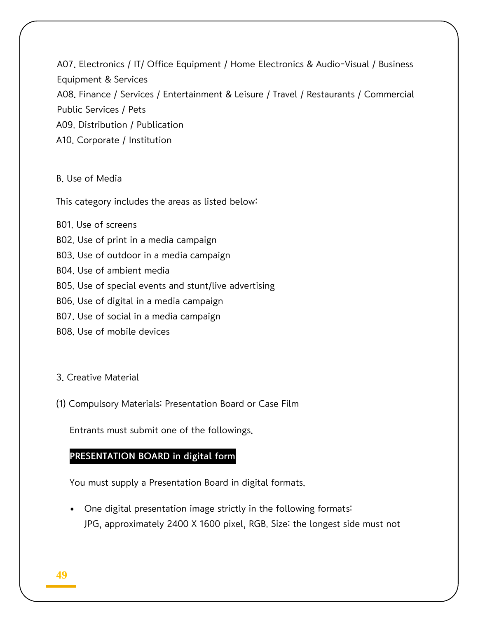A07. Electronics / IT/ Office Equipment / Home Electronics & Audio-Visual / Business Equipment & Services A08. Finance / Services / Entertainment & Leisure / Travel / Restaurants / Commercial Public Services / Pets A09. Distribution / Publication A10. Corporate / Institution

#### B. Use of Media

This category includes the areas as listed below:

B01. Use of screens B02. Use of print in a media campaign B03. Use of outdoor in a media campaign B04. Use of ambient media B05. Use of special events and stunt/live advertising B06. Use of digital in a media campaign B07. Use of social in a media campaign B08. Use of mobile devices

#### 3. Creative Material

(1) Compulsory Materials: Presentation Board or Case Film

Entrants must submit one of the followings.

### PRESENTATION BOARD in digital form

You must supply a Presentation Board in digital formats.

 One digital presentation image strictly in the following formats: JPG, approximately 2400 X 1600 pixel, RGB. Size: the longest side must not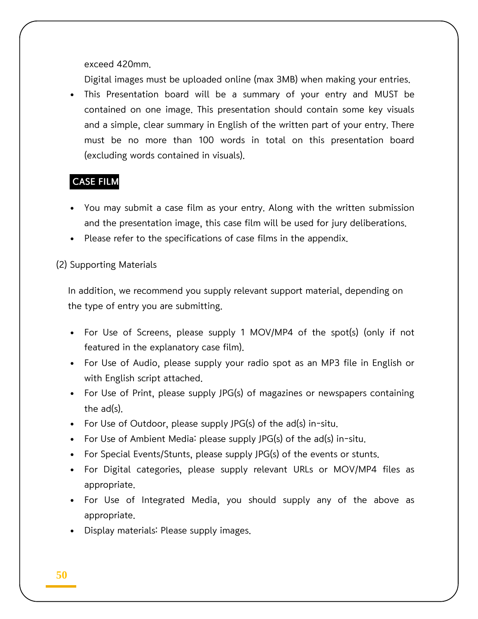exceed 420mm.

Digital images must be uploaded online (max 3MB) when making your entries.

 This Presentation board will be a summary of your entry and MUST be contained on one image. This presentation should contain some key visuals and a simple, clear summary in English of the written part of your entry. There must be no more than 100 words in total on this presentation board (excluding words contained in visuals).

### CASE FILM

- You may submit a case film as your entry. Along with the written submission and the presentation image, this case film will be used for jury deliberations.
- Please refer to the specifications of case films in the appendix.

#### (2) Supporting Materials

In addition, we recommend you supply relevant support material, depending on the type of entry you are submitting.

- For Use of Screens, please supply 1 MOV/MP4 of the spot(s) (only if not featured in the explanatory case film).
- For Use of Audio, please supply your radio spot as an MP3 file in English or with English script attached.
- For Use of Print, please supply JPG(s) of magazines or newspapers containing the ad(s).
- For Use of Outdoor, please supply JPG(s) of the ad(s) in-situ.
- For Use of Ambient Media: please supply JPG(s) of the ad(s) in-situ.
- For Special Events/Stunts, please supply JPG(s) of the events or stunts.
- For Digital categories, please supply relevant URLs or MOV/MP4 files as appropriate.
- For Use of Integrated Media, you should supply any of the above as appropriate.
- Display materials: Please supply images.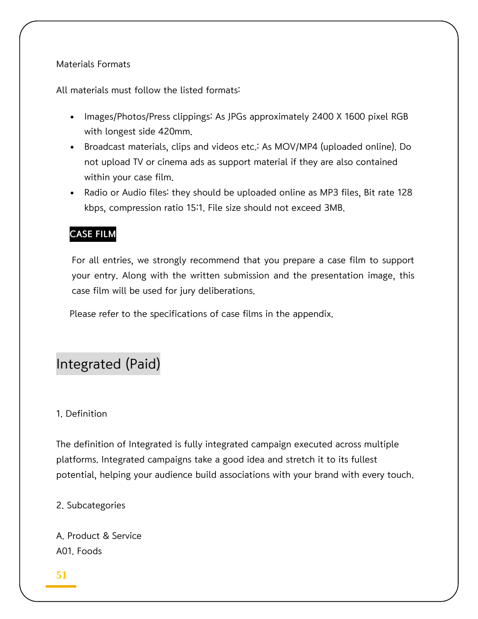### Materials Formats

All materials must follow the listed formats:

- Images/Photos/Press clippings: As JPGs approximately 2400 X 1600 pixel RGB with longest side 420mm.
- Broadcast materials, clips and videos etc.: As MOV/MP4 (uploaded online). Do not upload TV or cinema ads as support material if they are also contained within your case film.
- Radio or Audio files: they should be uploaded online as MP3 files, Bit rate 128 kbps, compression ratio 15:1. File size should not exceed 3MB.

### CASE FILM

For all entries, we strongly recommend that you prepare a case film to support your entry. Along with the written submission and the presentation image, this case film will be used for jury deliberations.

Please refer to the specifications of case films in the appendix.

# Integrated (Paid)

### 1. Definition

The definition of Integrated is fully integrated campaign executed across multiple platforms. Integrated campaigns take a good idea and stretch it to its fullest potential, helping your audience build associations with your brand with every touch.

2. Subcategories

A. Product & Service A01. Foods

### **51**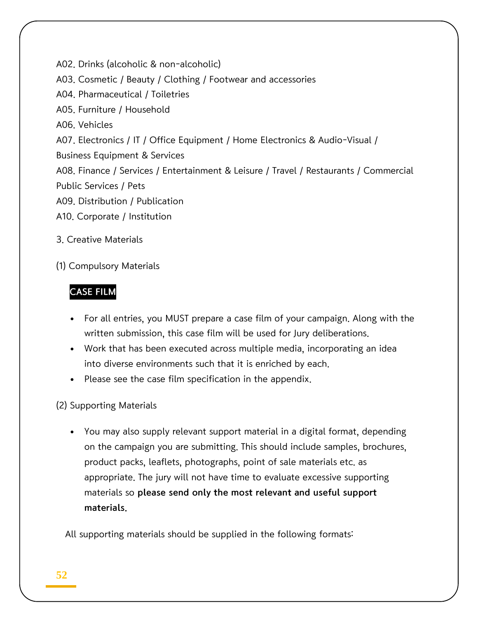A02. Drinks (alcoholic & non-alcoholic) A03. Cosmetic / Beauty / Clothing / Footwear and accessories A04. Pharmaceutical / Toiletries A05. Furniture / Household A06. Vehicles A07. Electronics / IT / Office Equipment / Home Electronics & Audio-Visual / Business Equipment & Services A08. Finance / Services / Entertainment & Leisure / Travel / Restaurants / Commercial Public Services / Pets A09. Distribution / Publication A10. Corporate / Institution

- 3. Creative Materials
- (1) Compulsory Materials

### CASE FILM

- For all entries, you MUST prepare a case film of your campaign. Along with the written submission, this case film will be used for Jury deliberations.
- Work that has been executed across multiple media, incorporating an idea into diverse environments such that it is enriched by each.
- Please see the case film specification in the appendix.

(2) Supporting Materials

 You may also supply relevant support material in a digital format, depending on the campaign you are submitting. This should include samples, brochures, product packs, leaflets, photographs, point of sale materials etc. as appropriate. The jury will not have time to evaluate excessive supporting materials so please send only the most relevant and useful support materials.

All supporting materials should be supplied in the following formats: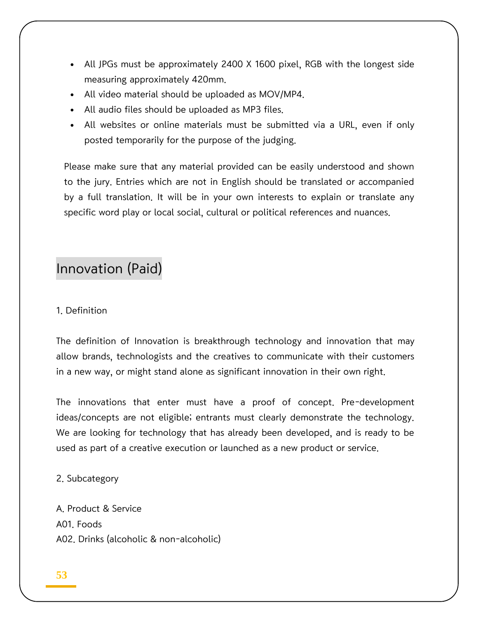- All JPGs must be approximately 2400 X 1600 pixel, RGB with the longest side measuring approximately 420mm.
- All video material should be uploaded as MOV/MP4.
- All audio files should be uploaded as MP3 files.
- All websites or online materials must be submitted via a URL, even if only posted temporarily for the purpose of the judging.

Please make sure that any material provided can be easily understood and shown to the jury. Entries which are not in English should be translated or accompanied by a full translation. It will be in your own interests to explain or translate any specific word play or local social, cultural or political references and nuances.

# Innovation (Paid)

#### 1. Definition

The definition of Innovation is breakthrough technology and innovation that may allow brands, technologists and the creatives to communicate with their customers in a new way, or might stand alone as significant innovation in their own right.

The innovations that enter must have a proof of concept. Pre-development ideas/concepts are not eligible; entrants must clearly demonstrate the technology. We are looking for technology that has already been developed, and is ready to be used as part of a creative execution or launched as a new product or service.

2. Subcategory

A. Product & Service A01. Foods A02. Drinks (alcoholic & non-alcoholic)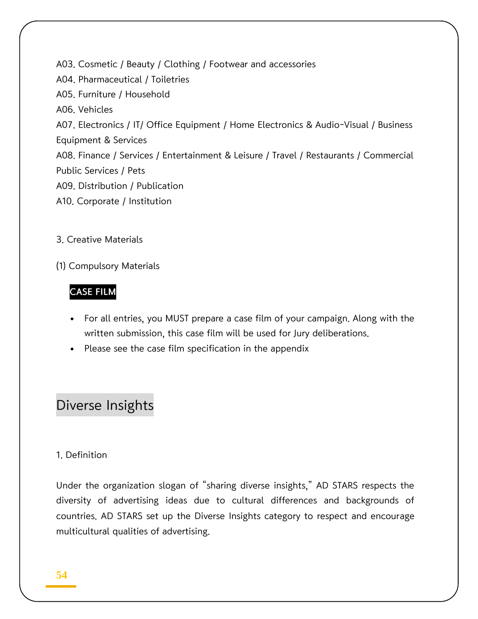A03. Cosmetic / Beauty / Clothing / Footwear and accessories A04. Pharmaceutical / Toiletries A05. Furniture / Household A06. Vehicles A07. Electronics / IT/ Office Equipment / Home Electronics & Audio-Visual / Business Equipment & Services A08. Finance / Services / Entertainment & Leisure / Travel / Restaurants / Commercial Public Services / Pets A09. Distribution / Publication A10. Corporate / Institution

- 3. Creative Materials
- (1) Compulsory Materials

### CASE FILM

- For all entries, you MUST prepare a case film of your campaign. Along with the written submission, this case film will be used for Jury deliberations.
- Please see the case film specification in the appendix

# Diverse Insights

### 1. Definition

Under the organization slogan of "sharing diverse insights," AD STARS respects the diversity of advertising ideas due to cultural differences and backgrounds of countries. AD STARS set up the Diverse Insights category to respect and encourage multicultural qualities of advertising.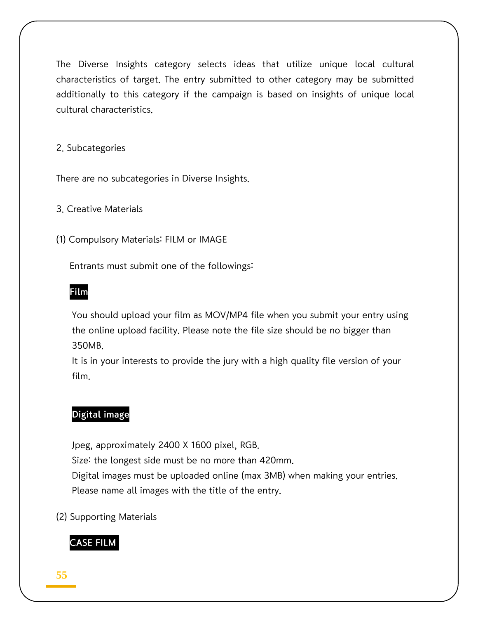The Diverse Insights category selects ideas that utilize unique local cultural characteristics of target. The entry submitted to other category may be submitted additionally to this category if the campaign is based on insights of unique local cultural characteristics.

2. Subcategories

There are no subcategories in Diverse Insights.

3. Creative Materials

(1) Compulsory Materials: FILM or IMAGE

Entrants must submit one of the followings:

### Film

You should upload your film as MOV/MP4 file when you submit your entry using the online upload facility. Please note the file size should be no bigger than 350MB.

It is in your interests to provide the jury with a high quality file version of your film.

### Digital image

Jpeg, approximately 2400 X 1600 pixel, RGB. Size: the longest side must be no more than 420mm. Digital images must be uploaded online (max 3MB) when making your entries.

Please name all images with the title of the entry.

(2) Supporting Materials

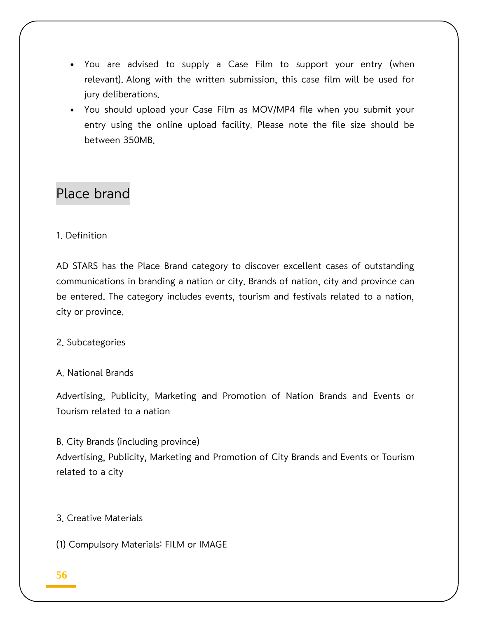- You are advised to supply a Case Film to support your entry (when relevant). Along with the written submission, this case film will be used for jury deliberations.
- You should upload your Case Film as MOV/MP4 file when you submit your entry using the online upload facility. Please note the file size should be between 350MB.

# Place brand

### 1. Definition

AD STARS has the Place Brand category to discover excellent cases of outstanding communications in branding a nation or city. Brands of nation, city and province can be entered. The category includes events, tourism and festivals related to a nation, city or province.

### 2. Subcategories

### A. National Brands

Advertising, Publicity, Marketing and Promotion of Nation Brands and Events or Tourism related to a nation

B. City Brands (including province) Advertising, Publicity, Marketing and Promotion of City Brands and Events or Tourism related to a city

### 3. Creative Materials

(1) Compulsory Materials: FILM or IMAGE

### **56**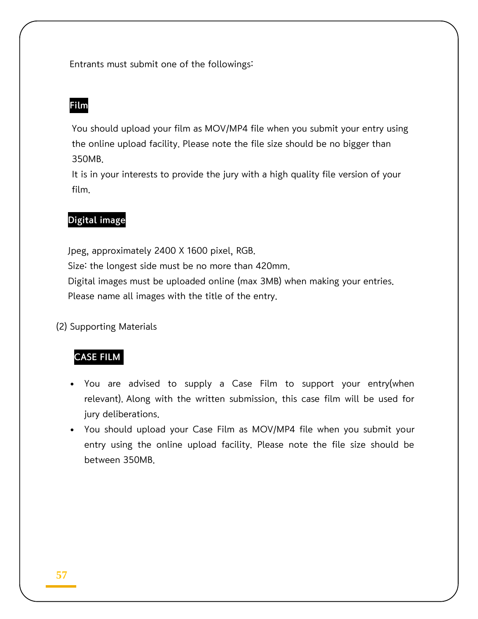Entrants must submit one of the followings:

### Film

You should upload your film as MOV/MP4 file when you submit your entry using the online upload facility. Please note the file size should be no bigger than 350MB.

It is in your interests to provide the jury with a high quality file version of your film.

### Digital image

Jpeg, approximately 2400 X 1600 pixel, RGB. Size: the longest side must be no more than 420mm. Digital images must be uploaded online (max 3MB) when making your entries. Please name all images with the title of the entry.

(2) Supporting Materials

### CASE FILM

- You are advised to supply a Case Film to support your entry(when relevant). Along with the written submission, this case film will be used for jury deliberations.
- You should upload your Case Film as MOV/MP4 file when you submit your entry using the online upload facility. Please note the file size should be between 350MB.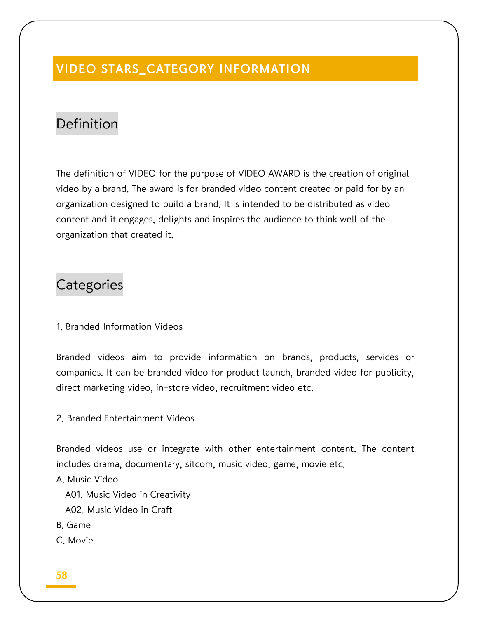# VIDEO STARS\_CATEGORY INFORMATION

# Definition

The definition of VIDEO for the purpose of VIDEO AWARD is the creation of original video by a brand. The award is for branded video content created or paid for by an organization designed to build a brand. It is intended to be distributed as video content and it engages, delights and inspires the audience to think well of the organization that created it.

# **Categories**

1. Branded Information Videos

Branded videos aim to provide information on brands, products, services or companies. It can be branded video for product launch, branded video for publicity, direct marketing video, in-store video, recruitment video etc.

2. Branded Entertainment Videos

Branded videos use or integrate with other entertainment content. The content includes drama, documentary, sitcom, music video, game, movie etc.

A. Music Video

A01. Music Video in Creativity

- A02. Music Video in Craft
- B. Game
- C. Movie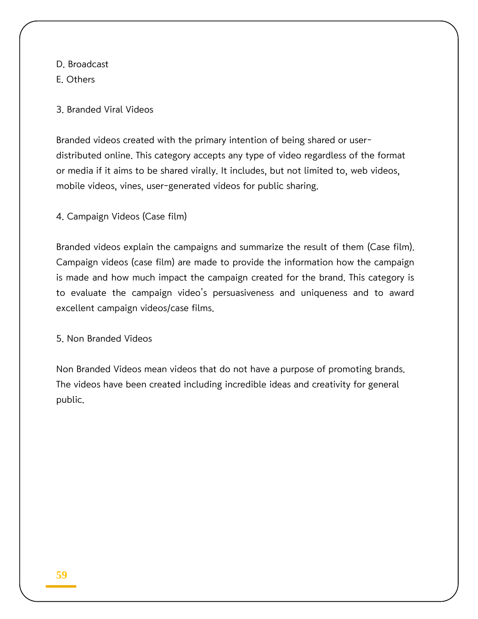D. Broadcast

E. Others

3. Branded Viral Videos

Branded videos created with the primary intention of being shared or userdistributed online. This category accepts any type of video regardless of the format or media if it aims to be shared virally. It includes, but not limited to, web videos, mobile videos, vines, user-generated videos for public sharing.

4. Campaign Videos (Case film)

Branded videos explain the campaigns and summarize the result of them (Case film). Campaign videos (case film) are made to provide the information how the campaign is made and how much impact the campaign created for the brand. This category is to evaluate the campaign video's persuasiveness and uniqueness and to award excellent campaign videos/case films.

5. Non Branded Videos

Non Branded Videos mean videos that do not have a purpose of promoting brands. The videos have been created including incredible ideas and creativity for general public.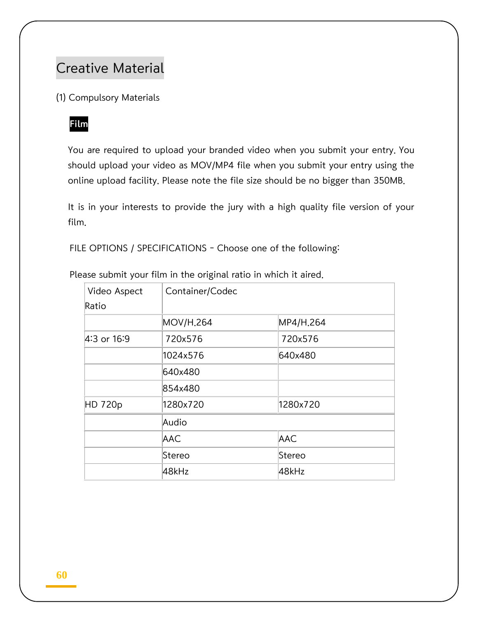# Creative Material

(1) Compulsory Materials

### Film

You are required to upload your branded video when you submit your entry. You should upload your video as MOV/MP4 file when you submit your entry using the online upload facility. Please note the file size should be no bigger than 350MB.

It is in your interests to provide the jury with a high quality file version of your film.

FILE OPTIONS / SPECIFICATIONS - Choose one of the following:

| Video Aspect | Container/Codec       |            |  |
|--------------|-----------------------|------------|--|
| Ratio        |                       |            |  |
|              | MOV/H <sub>.264</sub> | MP4/H.264  |  |
| 4:3 or 16:9  | 720x576               | 720x576    |  |
|              | 1024x576              | 640x480    |  |
|              | 640x480               |            |  |
|              | 854x480               |            |  |
| HD 720p      | 1280x720              | 1280x720   |  |
|              | Audio                 |            |  |
|              | AAC                   | <b>AAC</b> |  |
|              | Stereo                | Stereo     |  |
|              | 48kHz                 | 48kHz      |  |

Please submit your film in the original ratio in which it aired.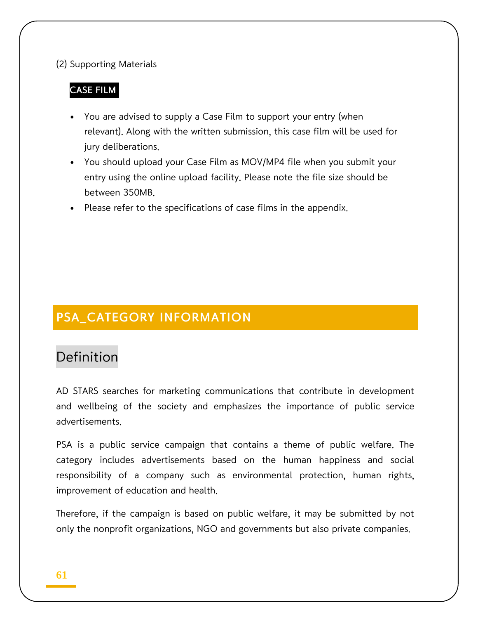### (2) Supporting Materials

### CASE FILM

- You are advised to supply a Case Film to support your entry (when relevant). Along with the written submission, this case film will be used for jury deliberations.
- You should upload your Case Film as MOV/MP4 file when you submit your entry using the online upload facility. Please note the file size should be between 350MB.
- Please refer to the specifications of case films in the appendix.

# PSA\_CATEGORY INFORMATION

# Definition

AD STARS searches for marketing communications that contribute in development and wellbeing of the society and emphasizes the importance of public service advertisements.

PSA is a public service campaign that contains a theme of public welfare. The category includes advertisements based on the human happiness and social responsibility of a company such as environmental protection, human rights, improvement of education and health.

Therefore, if the campaign is based on public welfare, it may be submitted by not only the nonprofit organizations, NGO and governments but also private companies.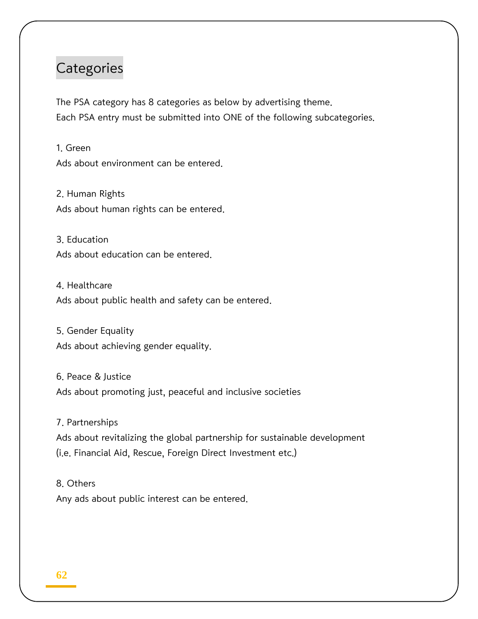# **Categories**

The PSA category has 8 categories as below by advertising theme. Each PSA entry must be submitted into ONE of the following subcategories.

1. Green Ads about environment can be entered.

2. Human Rights Ads about human rights can be entered.

3. Education Ads about education can be entered.

4. Healthcare Ads about public health and safety can be entered.

5. Gender Equality Ads about achieving gender equality.

6. Peace & Justice Ads about promoting just, peaceful and inclusive societies

7. Partnerships

Ads about revitalizing the global partnership for sustainable development (i.e. Financial Aid, Rescue, Foreign Direct Investment etc.)

8. Others Any ads about public interest can be entered.